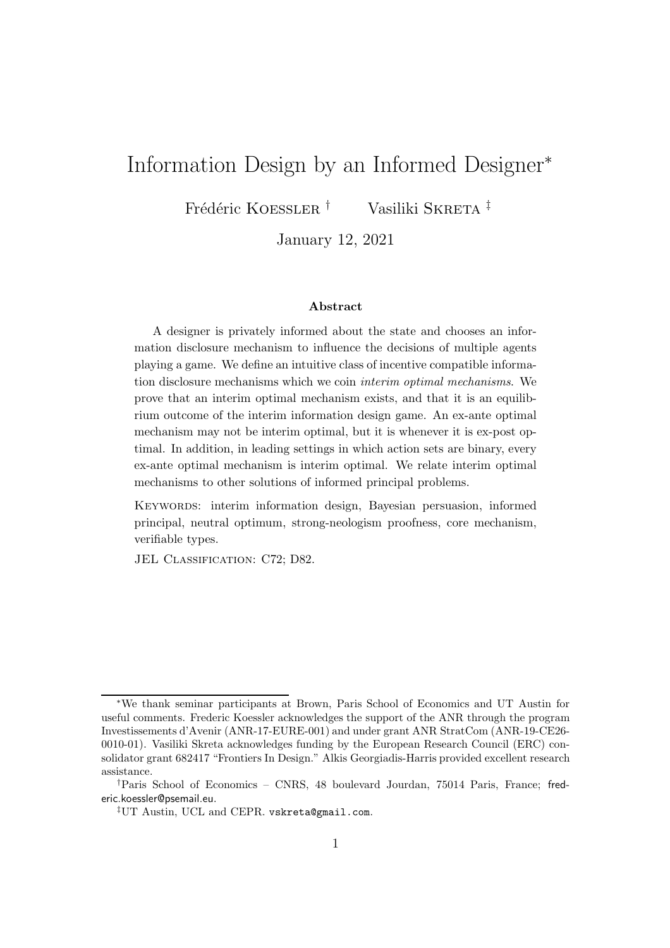# Information Design by an Informed Designer<sup>∗</sup>

Frédéric KOESSLER<sup>†</sup> Vasiliki SKRETA<sup>‡</sup>

January 12, 2021

#### Abstract

A designer is privately informed about the state and chooses an information disclosure mechanism to influence the decisions of multiple agents playing a game. We define an intuitive class of incentive compatible information disclosure mechanisms which we coin interim optimal mechanisms. We prove that an interim optimal mechanism exists, and that it is an equilibrium outcome of the interim information design game. An ex-ante optimal mechanism may not be interim optimal, but it is whenever it is ex-post optimal. In addition, in leading settings in which action sets are binary, every ex-ante optimal mechanism is interim optimal. We relate interim optimal mechanisms to other solutions of informed principal problems.

KEYWORDS: interim information design, Bayesian persuasion, informed principal, neutral optimum, strong-neologism proofness, core mechanism, verifiable types.

JEL CLASSIFICATION: C72; D82.

<sup>∗</sup>We thank seminar participants at Brown, Paris School of Economics and UT Austin for useful comments. Frederic Koessler acknowledges the support of the ANR through the program Investissements d'Avenir (ANR-17-EURE-001) and under grant ANR StratCom (ANR-19-CE26- 0010-01). Vasiliki Skreta acknowledges funding by the European Research Council (ERC) consolidator grant 682417 "Frontiers In Design." Alkis Georgiadis-Harris provided excellent research assistance.

<sup>†</sup>Paris School of Economics – CNRS, 48 boulevard Jourdan, 75014 Paris, France; frederic.koessler@psemail.eu.

<sup>‡</sup>UT Austin, UCL and CEPR. vskreta@gmail.com.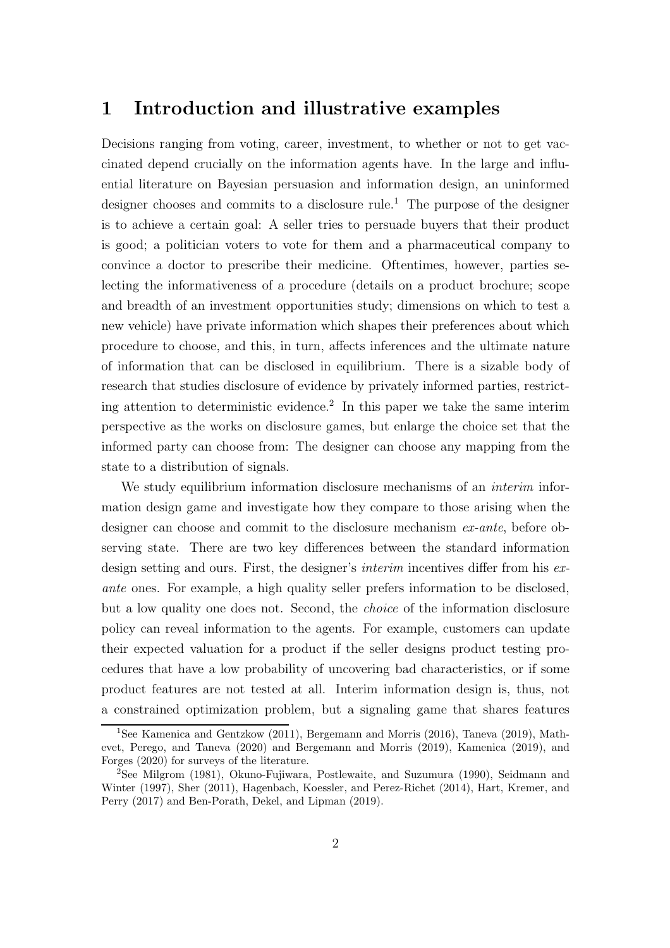### 1 Introduction and illustrative examples

Decisions ranging from voting, career, investment, to whether or not to get vaccinated depend crucially on the information agents have. In the large and influential literature on Bayesian persuasion and information design, an uninformed designer chooses and commits to a disclosure rule.<sup>1</sup> The purpose of the designer is to achieve a certain goal: A seller tries to persuade buyers that their product is good; a politician voters to vote for them and a pharmaceutical company to convince a doctor to prescribe their medicine. Oftentimes, however, parties selecting the informativeness of a procedure (details on a product brochure; scope and breadth of an investment opportunities study; dimensions on which to test a new vehicle) have private information which shapes their preferences about which procedure to choose, and this, in turn, affects inferences and the ultimate nature of information that can be disclosed in equilibrium. There is a sizable body of research that studies disclosure of evidence by privately informed parties, restricting attention to deterministic evidence.<sup>2</sup> In this paper we take the same interim perspective as the works on disclosure games, but enlarge the choice set that the informed party can choose from: The designer can choose any mapping from the state to a distribution of signals.

We study equilibrium information disclosure mechanisms of an *interim* information design game and investigate how they compare to those arising when the designer can choose and commit to the disclosure mechanism ex-ante, before observing state. There are two key differences between the standard information design setting and ours. First, the designer's *interim* incentives differ from his exante ones. For example, a high quality seller prefers information to be disclosed, but a low quality one does not. Second, the choice of the information disclosure policy can reveal information to the agents. For example, customers can update their expected valuation for a product if the seller designs product testing procedures that have a low probability of uncovering bad characteristics, or if some product features are not tested at all. Interim information design is, thus, not a constrained optimization problem, but a signaling game that shares features

<sup>&</sup>lt;sup>1</sup>See Kamenica and Gentzkow (2011), Bergemann and Morris (2016), Taneva (2019), Mathevet, Perego, and Taneva (2020) and Bergemann and Morris (2019), Kamenica (2019), and Forges (2020) for surveys of the literature.

<sup>2</sup>See Milgrom (1981), Okuno-Fujiwara, Postlewaite, and Suzumura (1990), Seidmann and Winter (1997), Sher (2011), Hagenbach, Koessler, and Perez-Richet (2014), Hart, Kremer, and Perry (2017) and Ben-Porath, Dekel, and Lipman (2019).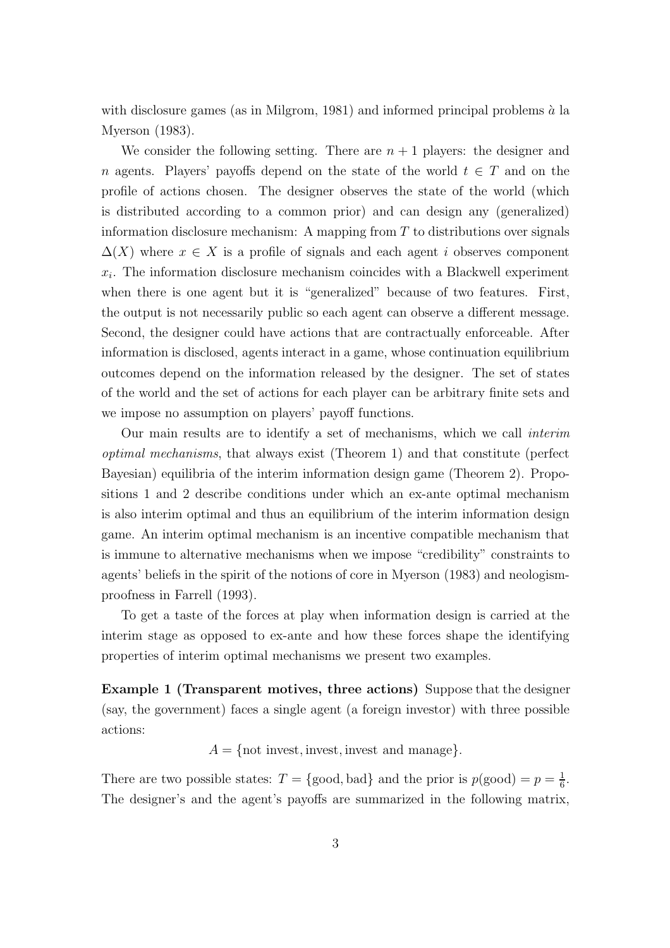with disclosure games (as in Milgrom, 1981) and informed principal problems  $\dot{a}$  la Myerson (1983).

We consider the following setting. There are  $n + 1$  players: the designer and n agents. Players' payoffs depend on the state of the world  $t \in T$  and on the profile of actions chosen. The designer observes the state of the world (which is distributed according to a common prior) and can design any (generalized) information disclosure mechanism: A mapping from  $T$  to distributions over signals  $\Delta(X)$  where  $x \in X$  is a profile of signals and each agent i observes component  $x_i$ . The information disclosure mechanism coincides with a Blackwell experiment when there is one agent but it is "generalized" because of two features. First, the output is not necessarily public so each agent can observe a different message. Second, the designer could have actions that are contractually enforceable. After information is disclosed, agents interact in a game, whose continuation equilibrium outcomes depend on the information released by the designer. The set of states of the world and the set of actions for each player can be arbitrary finite sets and we impose no assumption on players' payoff functions.

Our main results are to identify a set of mechanisms, which we call interim optimal mechanisms, that always exist (Theorem 1) and that constitute (perfect Bayesian) equilibria of the interim information design game (Theorem 2). Propositions 1 and 2 describe conditions under which an ex-ante optimal mechanism is also interim optimal and thus an equilibrium of the interim information design game. An interim optimal mechanism is an incentive compatible mechanism that is immune to alternative mechanisms when we impose "credibility" constraints to agents' beliefs in the spirit of the notions of core in Myerson (1983) and neologismproofness in Farrell (1993).

To get a taste of the forces at play when information design is carried at the interim stage as opposed to ex-ante and how these forces shape the identifying properties of interim optimal mechanisms we present two examples.

Example 1 (Transparent motives, three actions) Suppose that the designer (say, the government) faces a single agent (a foreign investor) with three possible actions:

 $A = \{ \text{not invest}, \text{invest}, \text{invest} \text{ and manage} \}.$ 

There are two possible states:  $T = \{\text{good}, \text{bad}\}\$ and the prior is  $p(\text{good}) = p = \frac{1}{6}$  $\frac{1}{6}$ . The designer's and the agent's payoffs are summarized in the following matrix,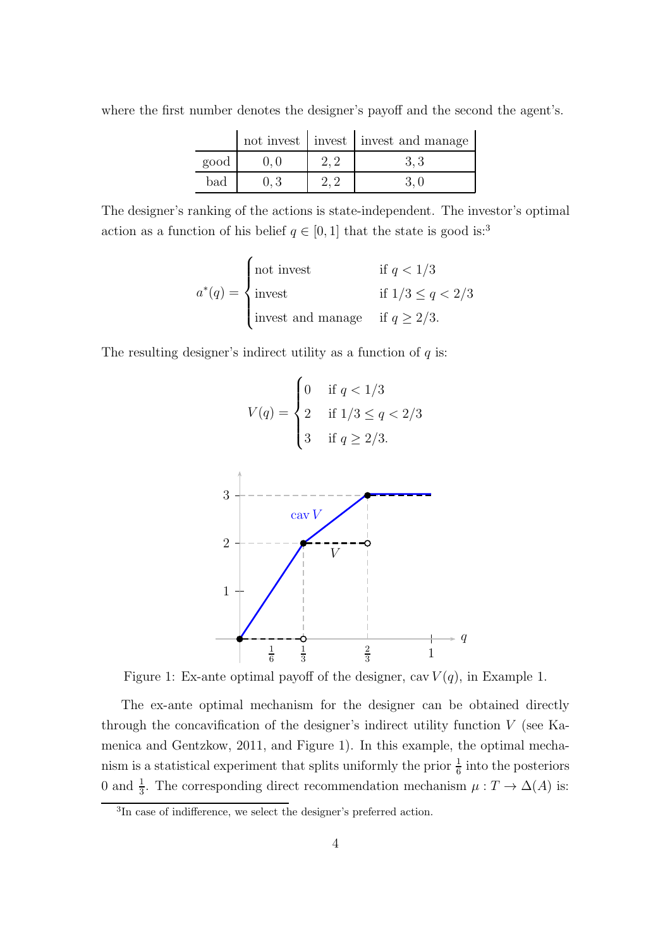|      |  | not invest invest invest and manage |
|------|--|-------------------------------------|
| good |  | 3.3                                 |
| bad  |  |                                     |

where the first number denotes the designer's payoff and the second the agent's.

The designer's ranking of the actions is state-independent. The investor's optimal action as a function of his belief  $q \in [0, 1]$  that the state is good is:<sup>3</sup>

$$
a^*(q) = \begin{cases} \text{not invest} & \text{if } q < 1/3\\ \text{invest} & \text{if } 1/3 \le q < 2/3\\ \text{invest and manage} & \text{if } q \ge 2/3. \end{cases}
$$

The resulting designer's indirect utility as a function of  $q$  is:

$$
V(q) = \begin{cases} 0 & \text{if } q < 1/3 \\ 2 & \text{if } 1/3 \le q < 2/3 \\ 3 & \text{if } q \ge 2/3. \end{cases}
$$



Figure 1: Ex-ante optimal payoff of the designer, cav  $V(q)$ , in Example 1.

The ex-ante optimal mechanism for the designer can be obtained directly through the concavification of the designer's indirect utility function V (see Kamenica and Gentzkow, 2011, and Figure 1). In this example, the optimal mechanism is a statistical experiment that splits uniformly the prior  $\frac{1}{6}$  into the posteriors 0 and  $\frac{1}{3}$ . The corresponding direct recommendation mechanism  $\mu: T \to \Delta(A)$  is:

<sup>&</sup>lt;sup>3</sup>In case of indifference, we select the designer's preferred action.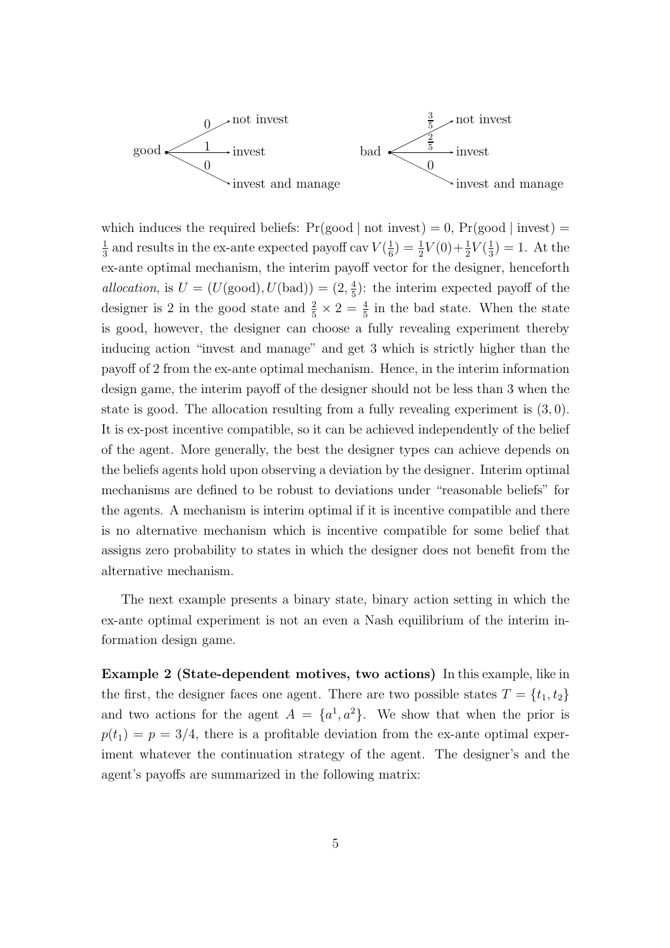

which induces the required beliefs:  $Pr(good \mid not \text{ invest}) = 0$ ,  $Pr(good \mid invest) =$ 1  $\frac{1}{3}$  and results in the ex-ante expected payoff cav  $V(\frac{1}{6}$  $(\frac{1}{6}) = \frac{1}{2}V(0) + \frac{1}{2}V(\frac{1}{3})$  $(\frac{1}{3}) = 1.$  At the ex-ante optimal mechanism, the interim payoff vector for the designer, henceforth allocation, is  $U = (U(\text{good}), U(\text{bad})) = (2, \frac{4}{5})$  $\frac{4}{5}$ : the interim expected payoff of the designer is 2 in the good state and  $\frac{2}{5} \times 2 = \frac{4}{5}$  in the bad state. When the state is good, however, the designer can choose a fully revealing experiment thereby inducing action "invest and manage" and get 3 which is strictly higher than the payoff of 2 from the ex-ante optimal mechanism. Hence, in the interim information design game, the interim payoff of the designer should not be less than 3 when the state is good. The allocation resulting from a fully revealing experiment is (3, 0). It is ex-post incentive compatible, so it can be achieved independently of the belief of the agent. More generally, the best the designer types can achieve depends on the beliefs agents hold upon observing a deviation by the designer. Interim optimal mechanisms are defined to be robust to deviations under "reasonable beliefs" for the agents. A mechanism is interim optimal if it is incentive compatible and there is no alternative mechanism which is incentive compatible for some belief that assigns zero probability to states in which the designer does not benefit from the alternative mechanism.

The next example presents a binary state, binary action setting in which the ex-ante optimal experiment is not an even a Nash equilibrium of the interim information design game.

Example 2 (State-dependent motives, two actions) In this example, like in the first, the designer faces one agent. There are two possible states  $T = \{t_1, t_2\}$ and two actions for the agent  $A = \{a^1, a^2\}$ . We show that when the prior is  $p(t_1) = p = 3/4$ , there is a profitable deviation from the ex-ante optimal experiment whatever the continuation strategy of the agent. The designer's and the agent's payoffs are summarized in the following matrix: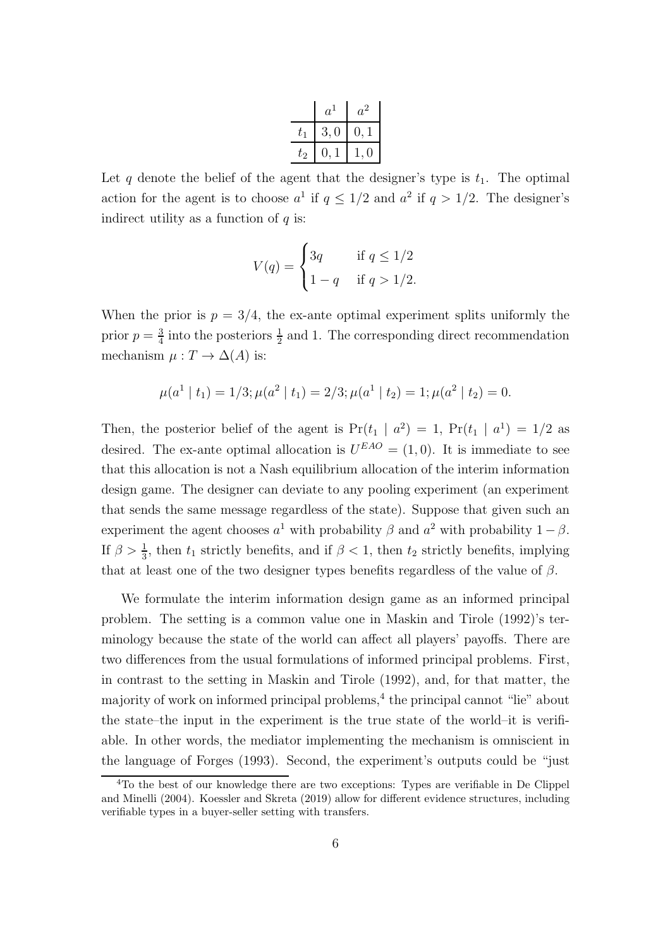|        | $a^{\prime}$ | $a^2$      |
|--------|--------------|------------|
| t1     | 3.0          | $\theta$ . |
| $t_2\$ |              | 0          |

Let q denote the belief of the agent that the designer's type is  $t_1$ . The optimal action for the agent is to choose  $a^1$  if  $q \leq 1/2$  and  $a^2$  if  $q > 1/2$ . The designer's indirect utility as a function of  $q$  is:

$$
V(q) = \begin{cases} 3q & \text{if } q \le 1/2 \\ 1 - q & \text{if } q > 1/2. \end{cases}
$$

When the prior is  $p = 3/4$ , the ex-ante optimal experiment splits uniformly the prior  $p=\frac{3}{4}$  $\frac{3}{4}$  into the posteriors  $\frac{1}{2}$  and 1. The corresponding direct recommendation mechanism  $\mu : T \to \Delta(A)$  is:

$$
\mu(a^1 | t_1) = 1/3; \mu(a^2 | t_1) = 2/3; \mu(a^1 | t_2) = 1; \mu(a^2 | t_2) = 0.
$$

Then, the posterior belief of the agent is  $Pr(t_1 | a^2) = 1$ ,  $Pr(t_1 | a^1) = 1/2$  as desired. The ex-ante optimal allocation is  $U^{EAO} = (1,0)$ . It is immediate to see that this allocation is not a Nash equilibrium allocation of the interim information design game. The designer can deviate to any pooling experiment (an experiment that sends the same message regardless of the state). Suppose that given such an experiment the agent chooses  $a^1$  with probability  $\beta$  and  $a^2$  with probability  $1-\beta$ . If  $\beta > \frac{1}{3}$ , then  $t_1$  strictly benefits, and if  $\beta < 1$ , then  $t_2$  strictly benefits, implying that at least one of the two designer types benefits regardless of the value of  $\beta$ .

We formulate the interim information design game as an informed principal problem. The setting is a common value one in Maskin and Tirole (1992)'s terminology because the state of the world can affect all players' payoffs. There are two differences from the usual formulations of informed principal problems. First, in contrast to the setting in Maskin and Tirole (1992), and, for that matter, the majority of work on informed principal problems,<sup>4</sup> the principal cannot "lie" about the state–the input in the experiment is the true state of the world–it is verifiable. In other words, the mediator implementing the mechanism is omniscient in the language of Forges (1993). Second, the experiment's outputs could be "just

<sup>4</sup>To the best of our knowledge there are two exceptions: Types are verifiable in De Clippel and Minelli (2004). Koessler and Skreta (2019) allow for different evidence structures, including verifiable types in a buyer-seller setting with transfers.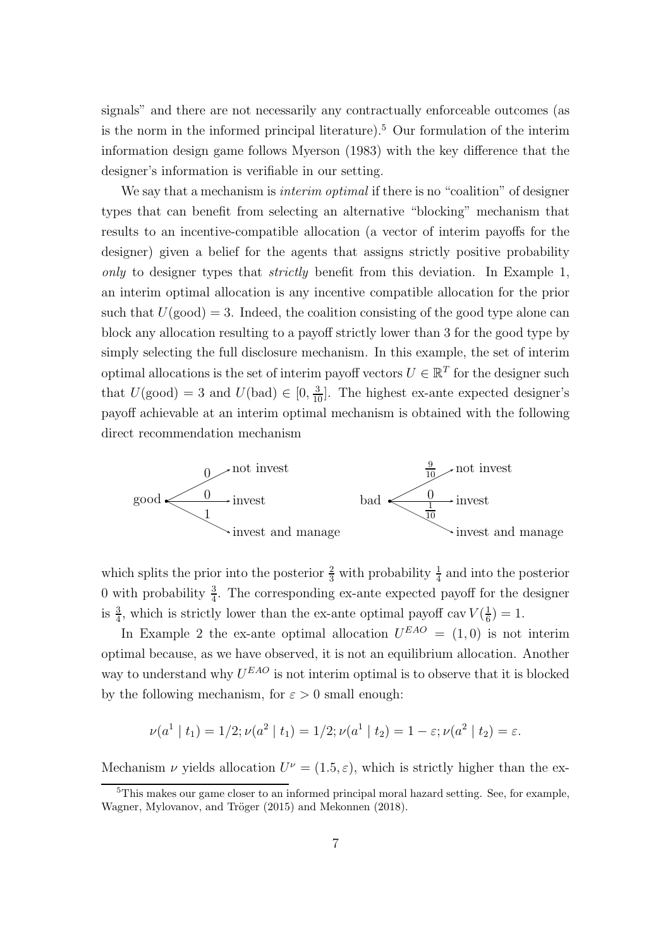signals" and there are not necessarily any contractually enforceable outcomes (as is the norm in the informed principal literature).<sup>5</sup> Our formulation of the interim information design game follows Myerson (1983) with the key difference that the designer's information is verifiable in our setting.

We say that a mechanism is *interim optimal* if there is no "coalition" of designer types that can benefit from selecting an alternative "blocking" mechanism that results to an incentive-compatible allocation (a vector of interim payoffs for the designer) given a belief for the agents that assigns strictly positive probability only to designer types that *strictly* benefit from this deviation. In Example 1, an interim optimal allocation is any incentive compatible allocation for the prior such that  $U(\text{good}) = 3$ . Indeed, the coalition consisting of the good type alone can block any allocation resulting to a payoff strictly lower than 3 for the good type by simply selecting the full disclosure mechanism. In this example, the set of interim optimal allocations is the set of interim payoff vectors  $U \in \mathbb{R}^T$  for the designer such that  $U(\text{good}) = 3$  and  $U(\text{bad}) \in [0, \frac{3}{10}]$ . The highest ex-ante expected designer's payoff achievable at an interim optimal mechanism is obtained with the following direct recommendation mechanism



which splits the prior into the posterior  $\frac{2}{3}$  with probability  $\frac{1}{4}$  and into the posterior 0 with probability  $\frac{3}{4}$ . The corresponding ex-ante expected payoff for the designer is  $\frac{3}{4}$ , which is strictly lower than the ex-ante optimal payoff cav  $V(\frac{1}{6})$  $(\frac{1}{6})=1.$ 

In Example 2 the ex-ante optimal allocation  $U^{EAO} = (1,0)$  is not interim optimal because, as we have observed, it is not an equilibrium allocation. Another way to understand why  $U^{EAO}$  is not interim optimal is to observe that it is blocked by the following mechanism, for  $\varepsilon > 0$  small enough:

$$
\nu(a^1 \mid t_1) = 1/2; \nu(a^2 \mid t_1) = 1/2; \nu(a^1 \mid t_2) = 1 - \varepsilon; \nu(a^2 \mid t_2) = \varepsilon.
$$

Mechanism  $\nu$  yields allocation  $U^{\nu} = (1.5, \varepsilon)$ , which is strictly higher than the ex-

<sup>5</sup>This makes our game closer to an informed principal moral hazard setting. See, for example, Wagner, Mylovanov, and Tröger (2015) and Mekonnen (2018).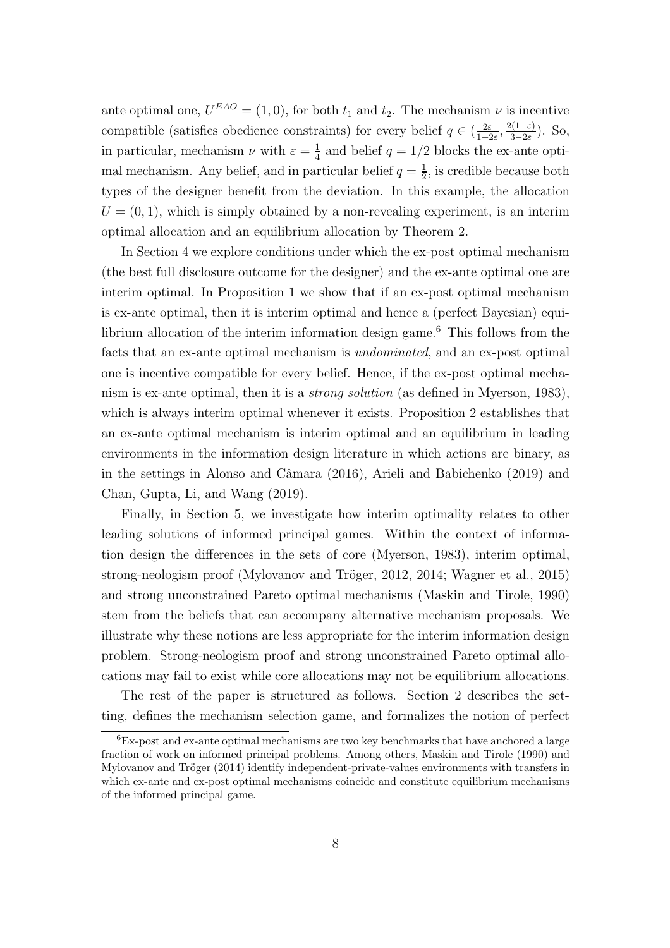ante optimal one,  $U^{EAO} = (1, 0)$ , for both  $t_1$  and  $t_2$ . The mechanism  $\nu$  is incentive compatible (satisfies obedience constraints) for every belief  $q \in \left(\frac{2\varepsilon}{1+\varepsilon}\right)$  $\frac{2\varepsilon}{1+2\varepsilon}, \frac{2(1-\varepsilon)}{3-2\varepsilon}$  $\frac{2(1-\epsilon)}{3-2\epsilon}$ ). So, in particular, mechanism  $\nu$  with  $\varepsilon = \frac{1}{4}$  $\frac{1}{4}$  and belief  $q = 1/2$  blocks the ex-ante optimal mechanism. Any belief, and in particular belief  $q = \frac{1}{2}$  $\frac{1}{2}$ , is credible because both types of the designer benefit from the deviation. In this example, the allocation  $U = (0, 1)$ , which is simply obtained by a non-revealing experiment, is an interim optimal allocation and an equilibrium allocation by Theorem 2.

In Section 4 we explore conditions under which the ex-post optimal mechanism (the best full disclosure outcome for the designer) and the ex-ante optimal one are interim optimal. In Proposition 1 we show that if an ex-post optimal mechanism is ex-ante optimal, then it is interim optimal and hence a (perfect Bayesian) equilibrium allocation of the interim information design game.<sup>6</sup> This follows from the facts that an ex-ante optimal mechanism is undominated, and an ex-post optimal one is incentive compatible for every belief. Hence, if the ex-post optimal mechanism is ex-ante optimal, then it is a strong solution (as defined in Myerson, 1983), which is always interim optimal whenever it exists. Proposition 2 establishes that an ex-ante optimal mechanism is interim optimal and an equilibrium in leading environments in the information design literature in which actions are binary, as in the settings in Alonso and Câmara (2016), Arieli and Babichenko (2019) and Chan, Gupta, Li, and Wang (2019).

Finally, in Section 5, we investigate how interim optimality relates to other leading solutions of informed principal games. Within the context of information design the differences in the sets of core (Myerson, 1983), interim optimal, strong-neologism proof (Mylovanov and Tröger, 2012, 2014; Wagner et al., 2015) and strong unconstrained Pareto optimal mechanisms (Maskin and Tirole, 1990) stem from the beliefs that can accompany alternative mechanism proposals. We illustrate why these notions are less appropriate for the interim information design problem. Strong-neologism proof and strong unconstrained Pareto optimal allocations may fail to exist while core allocations may not be equilibrium allocations.

The rest of the paper is structured as follows. Section 2 describes the setting, defines the mechanism selection game, and formalizes the notion of perfect

 ${}^{6}$ Ex-post and ex-ante optimal mechanisms are two key benchmarks that have anchored a large fraction of work on informed principal problems. Among others, Maskin and Tirole (1990) and Mylovanov and Tröger (2014) identify independent-private-values environments with transfers in which ex-ante and ex-post optimal mechanisms coincide and constitute equilibrium mechanisms of the informed principal game.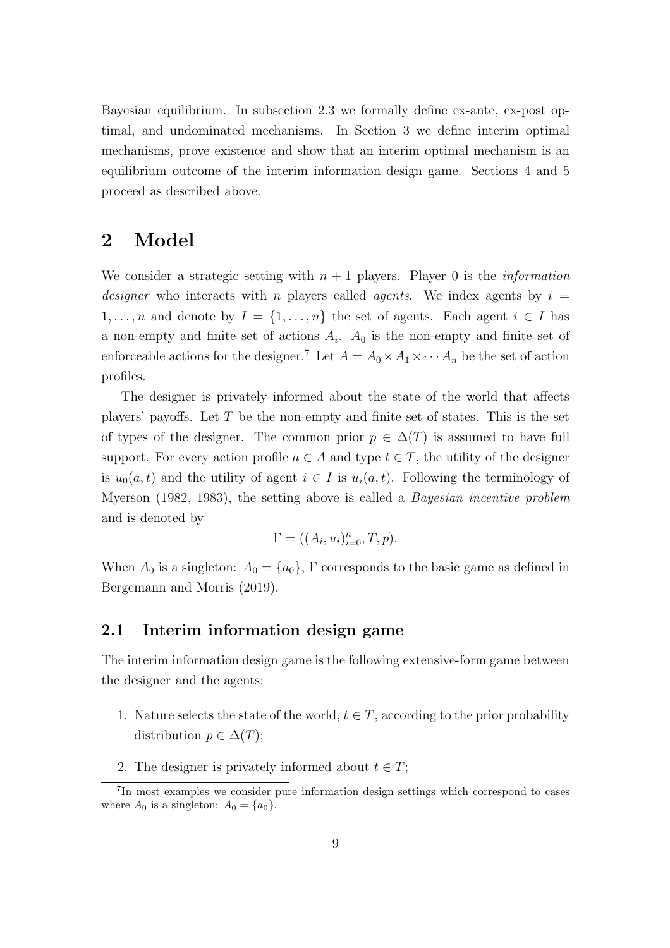Bayesian equilibrium. In subsection 2.3 we formally define ex-ante, ex-post optimal, and undominated mechanisms. In Section 3 we define interim optimal mechanisms, prove existence and show that an interim optimal mechanism is an equilibrium outcome of the interim information design game. Sections 4 and 5 proceed as described above.

### 2 Model

We consider a strategic setting with  $n + 1$  players. Player 0 is the *information designer* who interacts with n players called *agents*. We index agents by  $i =$ 1, ..., *n* and denote by  $I = \{1, ..., n\}$  the set of agents. Each agent  $i \in I$  has a non-empty and finite set of actions  $A_i$ .  $A_0$  is the non-empty and finite set of enforceable actions for the designer.<sup>7</sup> Let  $A = A_0 \times A_1 \times \cdots \times A_n$  be the set of action profiles.

The designer is privately informed about the state of the world that affects players' payoffs. Let  $T$  be the non-empty and finite set of states. This is the set of types of the designer. The common prior  $p \in \Delta(T)$  is assumed to have full support. For every action profile  $a \in A$  and type  $t \in T$ , the utility of the designer is  $u_0(a, t)$  and the utility of agent  $i \in I$  is  $u_i(a, t)$ . Following the terminology of Myerson (1982, 1983), the setting above is called a Bayesian incentive problem and is denoted by

$$
\Gamma = ((A_i, u_i)_{i=0}^n, T, p).
$$

When  $A_0$  is a singleton:  $A_0 = \{a_0\}$ ,  $\Gamma$  corresponds to the basic game as defined in Bergemann and Morris (2019).

#### 2.1 Interim information design game

The interim information design game is the following extensive-form game between the designer and the agents:

- 1. Nature selects the state of the world,  $t \in T$ , according to the prior probability distribution  $p \in \Delta(T)$ ;
- 2. The designer is privately informed about  $t \in T$ ;

<sup>7</sup> In most examples we consider pure information design settings which correspond to cases where  $A_0$  is a singleton:  $A_0 = \{a_0\}.$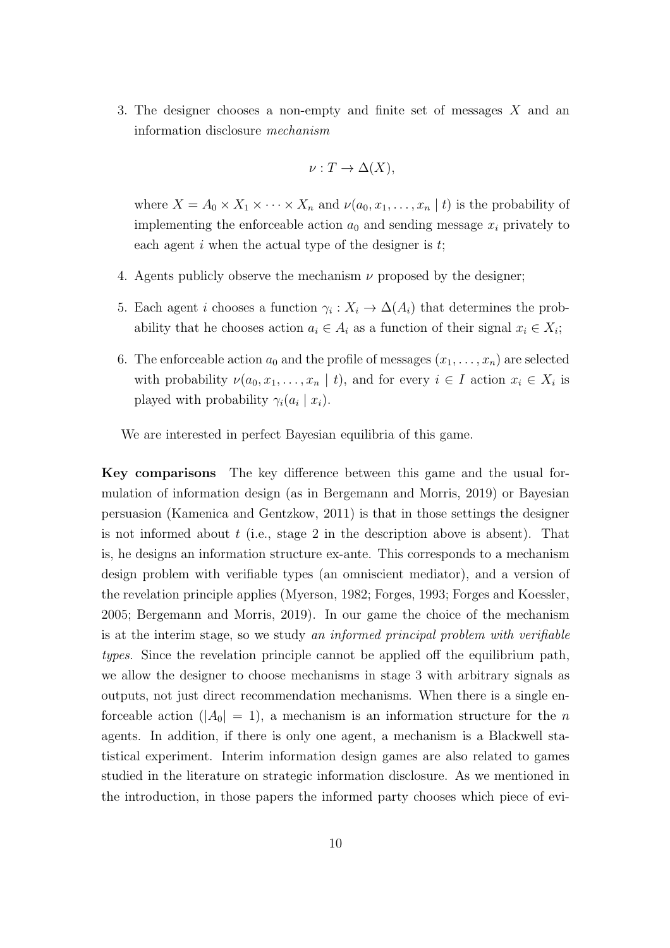3. The designer chooses a non-empty and finite set of messages X and an information disclosure mechanism

$$
\nu: T \to \Delta(X),
$$

where  $X = A_0 \times X_1 \times \cdots \times X_n$  and  $\nu(a_0, x_1, \ldots, x_n | t)$  is the probability of implementing the enforceable action  $a_0$  and sending message  $x_i$  privately to each agent  $i$  when the actual type of the designer is  $t$ ;

- 4. Agents publicly observe the mechanism  $\nu$  proposed by the designer;
- 5. Each agent *i* chooses a function  $\gamma_i : X_i \to \Delta(A_i)$  that determines the probability that he chooses action  $a_i \in A_i$  as a function of their signal  $x_i \in X_i$ ;
- 6. The enforceable action  $a_0$  and the profile of messages  $(x_1, \ldots, x_n)$  are selected with probability  $\nu(a_0, x_1, \ldots, x_n | t)$ , and for every  $i \in I$  action  $x_i \in X_i$  is played with probability  $\gamma_i(a_i \mid x_i)$ .

We are interested in perfect Bayesian equilibria of this game.

Key comparisons The key difference between this game and the usual formulation of information design (as in Bergemann and Morris, 2019) or Bayesian persuasion (Kamenica and Gentzkow, 2011) is that in those settings the designer is not informed about  $t$  (i.e., stage 2 in the description above is absent). That is, he designs an information structure ex-ante. This corresponds to a mechanism design problem with verifiable types (an omniscient mediator), and a version of the revelation principle applies (Myerson, 1982; Forges, 1993; Forges and Koessler, 2005; Bergemann and Morris, 2019). In our game the choice of the mechanism is at the interim stage, so we study an informed principal problem with verifiable types. Since the revelation principle cannot be applied off the equilibrium path, we allow the designer to choose mechanisms in stage 3 with arbitrary signals as outputs, not just direct recommendation mechanisms. When there is a single enforceable action  $(|A_0| = 1)$ , a mechanism is an information structure for the n agents. In addition, if there is only one agent, a mechanism is a Blackwell statistical experiment. Interim information design games are also related to games studied in the literature on strategic information disclosure. As we mentioned in the introduction, in those papers the informed party chooses which piece of evi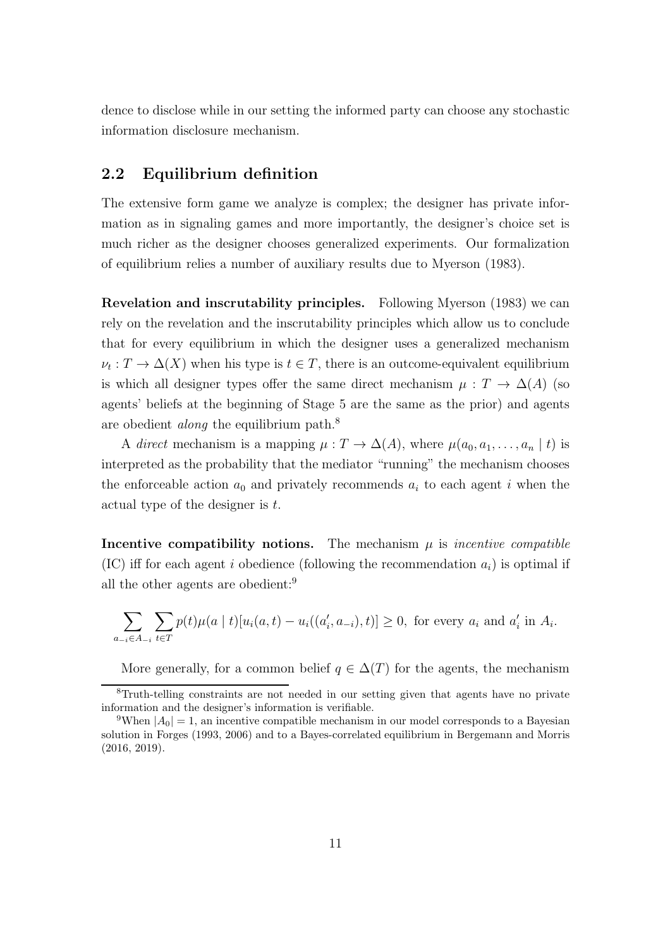dence to disclose while in our setting the informed party can choose any stochastic information disclosure mechanism.

#### 2.2 Equilibrium definition

The extensive form game we analyze is complex; the designer has private information as in signaling games and more importantly, the designer's choice set is much richer as the designer chooses generalized experiments. Our formalization of equilibrium relies a number of auxiliary results due to Myerson (1983).

Revelation and inscrutability principles. Following Myerson (1983) we can rely on the revelation and the inscrutability principles which allow us to conclude that for every equilibrium in which the designer uses a generalized mechanism  $\nu_t: T \to \Delta(X)$  when his type is  $t \in T$ , there is an outcome-equivalent equilibrium is which all designer types offer the same direct mechanism  $\mu : T \to \Delta(A)$  (so agents' beliefs at the beginning of Stage 5 are the same as the prior) and agents are obedient along the equilibrium path.<sup>8</sup>

A direct mechanism is a mapping  $\mu : T \to \Delta(A)$ , where  $\mu(a_0, a_1, \ldots, a_n | t)$  is interpreted as the probability that the mediator "running" the mechanism chooses the enforceable action  $a_0$  and privately recommends  $a_i$  to each agent i when the actual type of the designer is t.

Incentive compatibility notions. The mechanism  $\mu$  is *incentive compatible* (IC) iff for each agent i obedience (following the recommendation  $a_i$ ) is optimal if all the other agents are obedient:<sup>9</sup>

$$
\sum_{a_{-i}\in A_{-i}} \sum_{t\in T} p(t)\mu(a \mid t) [u_i(a, t) - u_i((a'_i, a_{-i}), t)] \ge 0, \text{ for every } a_i \text{ and } a'_i \text{ in } A_i.
$$

More generally, for a common belief  $q \in \Delta(T)$  for the agents, the mechanism

<sup>8</sup>Truth-telling constraints are not needed in our setting given that agents have no private information and the designer's information is verifiable.

<sup>&</sup>lt;sup>9</sup>When  $|A_0| = 1$ , an incentive compatible mechanism in our model corresponds to a Bayesian solution in Forges (1993, 2006) and to a Bayes-correlated equilibrium in Bergemann and Morris (2016, 2019).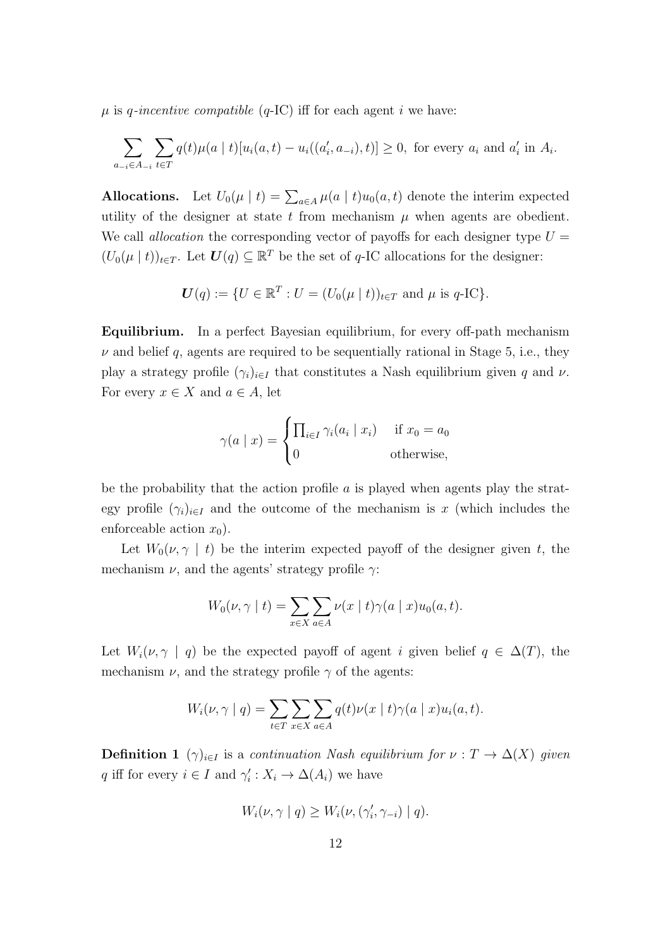$\mu$  is q-incentive compatible (q-IC) iff for each agent i we have:

$$
\sum_{a_{-i}\in A_{-i}} \sum_{t\in T} q(t)\mu(a \mid t) [u_i(a, t) - u_i((a'_i, a_{-i}), t)] \ge 0, \text{ for every } a_i \text{ and } a'_i \text{ in } A_i.
$$

**Allocations.** Let  $U_0(\mu \mid t) = \sum_{a \in A} \mu(a \mid t) u_0(a, t)$  denote the interim expected utility of the designer at state t from mechanism  $\mu$  when agents are obedient. We call *allocation* the corresponding vector of payoffs for each designer type  $U =$  $(U_0(\mu \mid t))_{t \in T}$ . Let  $\boldsymbol{U}(q) \subseteq \mathbb{R}^T$  be the set of q-IC allocations for the designer:

$$
U(q) := \{ U \in \mathbb{R}^T : U = (U_0(\mu \mid t))_{t \in T} \text{ and } \mu \text{ is } q\text{-IC} \}.
$$

Equilibrium. In a perfect Bayesian equilibrium, for every off-path mechanism  $\nu$  and belief q, agents are required to be sequentially rational in Stage 5, i.e., they play a strategy profile  $(\gamma_i)_{i\in I}$  that constitutes a Nash equilibrium given q and  $\nu$ . For every  $x \in X$  and  $a \in A$ , let

$$
\gamma(a \mid x) = \begin{cases} \prod_{i \in I} \gamma_i(a_i \mid x_i) & \text{if } x_0 = a_0 \\ 0 & \text{otherwise,} \end{cases}
$$

be the probability that the action profile  $\alpha$  is played when agents play the strategy profile  $(\gamma_i)_{i\in I}$  and the outcome of the mechanism is x (which includes the enforceable action  $x_0$ ).

Let  $W_0(\nu, \gamma \mid t)$  be the interim expected payoff of the designer given t, the mechanism  $\nu$ , and the agents' strategy profile  $\gamma$ :

$$
W_0(\nu, \gamma \mid t) = \sum_{x \in X} \sum_{a \in A} \nu(x \mid t) \gamma(a \mid x) u_0(a, t).
$$

Let  $W_i(\nu, \gamma \mid q)$  be the expected payoff of agent i given belief  $q \in \Delta(T)$ , the mechanism  $\nu$ , and the strategy profile  $\gamma$  of the agents:

$$
W_i(\nu, \gamma \mid q) = \sum_{t \in T} \sum_{x \in X} \sum_{a \in A} q(t) \nu(x \mid t) \gamma(a \mid x) u_i(a, t).
$$

**Definition 1**  $(\gamma)_{i\in I}$  is a continuation Nash equilibrium for  $\nu : T \to \Delta(X)$  given q iff for every  $i \in I$  and  $\gamma'_i : X_i \to \Delta(A_i)$  we have

$$
W_i(\nu, \gamma \mid q) \ge W_i(\nu, (\gamma'_i, \gamma_{-i}) \mid q).
$$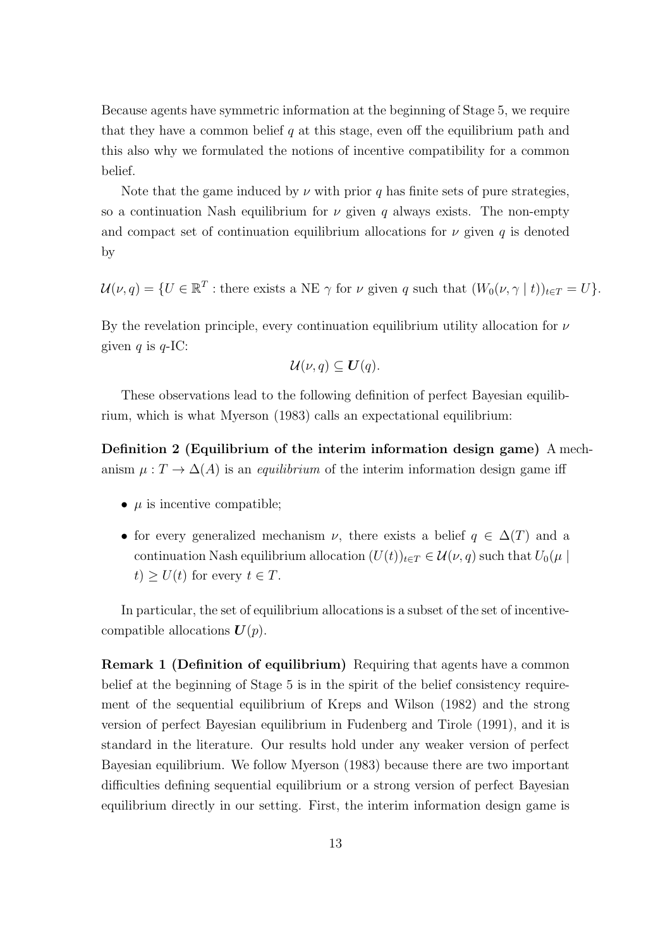Because agents have symmetric information at the beginning of Stage 5, we require that they have a common belief  $q$  at this stage, even off the equilibrium path and this also why we formulated the notions of incentive compatibility for a common belief.

Note that the game induced by  $\nu$  with prior q has finite sets of pure strategies, so a continuation Nash equilibrium for  $\nu$  given q always exists. The non-empty and compact set of continuation equilibrium allocations for  $\nu$  given q is denoted by

 $\mathcal{U}(\nu, q) = \{U \in \mathbb{R}^T : \text{there exists a NE } \gamma \text{ for } \nu \text{ given } q \text{ such that } (W_0(\nu, \gamma \mid t))_{t \in T} = U\}.$ 

By the revelation principle, every continuation equilibrium utility allocation for  $\nu$ given q is  $q$ -IC:

$$
\mathcal{U}(\nu,q)\subseteq \mathbf{U}(q).
$$

These observations lead to the following definition of perfect Bayesian equilibrium, which is what Myerson (1983) calls an expectational equilibrium:

Definition 2 (Equilibrium of the interim information design game) A mechanism  $\mu: T \to \Delta(A)$  is an *equilibrium* of the interim information design game iff

- $\mu$  is incentive compatible;
- for every generalized mechanism  $\nu$ , there exists a belief  $q \in \Delta(T)$  and a continuation Nash equilibrium allocation  $(U(t))_{t\in T} \in \mathcal{U}(\nu, q)$  such that  $U_0(\mu |$  $t) \geq U(t)$  for every  $t \in T$ .

In particular, the set of equilibrium allocations is a subset of the set of incentivecompatible allocations  $U(p)$ .

Remark 1 (Definition of equilibrium) Requiring that agents have a common belief at the beginning of Stage 5 is in the spirit of the belief consistency requirement of the sequential equilibrium of Kreps and Wilson (1982) and the strong version of perfect Bayesian equilibrium in Fudenberg and Tirole (1991), and it is standard in the literature. Our results hold under any weaker version of perfect Bayesian equilibrium. We follow Myerson (1983) because there are two important difficulties defining sequential equilibrium or a strong version of perfect Bayesian equilibrium directly in our setting. First, the interim information design game is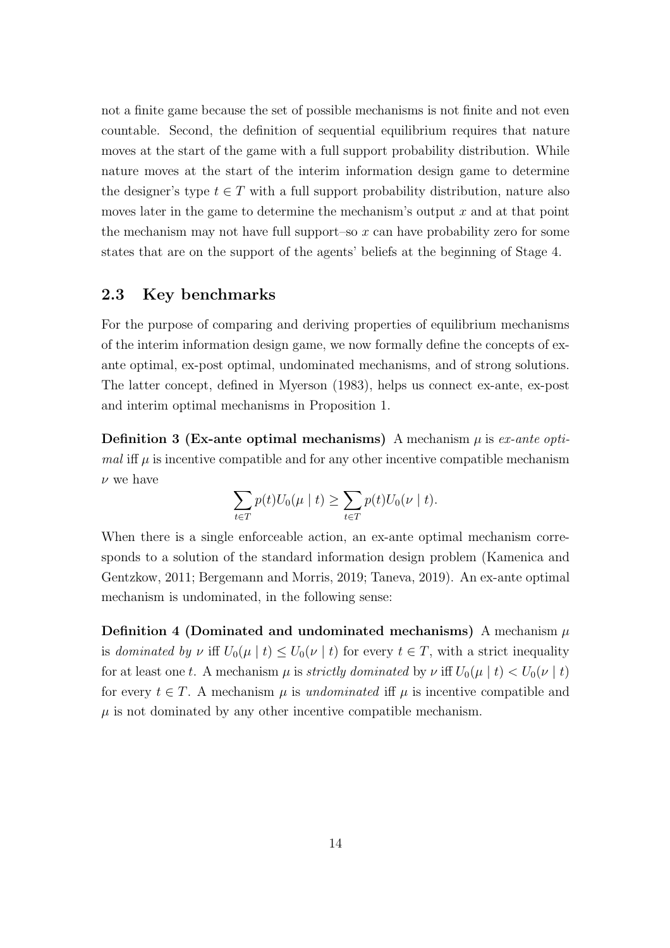not a finite game because the set of possible mechanisms is not finite and not even countable. Second, the definition of sequential equilibrium requires that nature moves at the start of the game with a full support probability distribution. While nature moves at the start of the interim information design game to determine the designer's type  $t \in T$  with a full support probability distribution, nature also moves later in the game to determine the mechanism's output  $x$  and at that point the mechanism may not have full support–so  $x$  can have probability zero for some states that are on the support of the agents' beliefs at the beginning of Stage 4.

#### 2.3 Key benchmarks

For the purpose of comparing and deriving properties of equilibrium mechanisms of the interim information design game, we now formally define the concepts of exante optimal, ex-post optimal, undominated mechanisms, and of strong solutions. The latter concept, defined in Myerson (1983), helps us connect ex-ante, ex-post and interim optimal mechanisms in Proposition 1.

**Definition 3 (Ex-ante optimal mechanisms)** A mechanism  $\mu$  is ex-ante optimal iff  $\mu$  is incentive compatible and for any other incentive compatible mechanism  $\nu$  we have

$$
\sum_{t \in T} p(t)U_0(\mu \mid t) \ge \sum_{t \in T} p(t)U_0(\nu \mid t).
$$

When there is a single enforceable action, an ex-ante optimal mechanism corresponds to a solution of the standard information design problem (Kamenica and Gentzkow, 2011; Bergemann and Morris, 2019; Taneva, 2019). An ex-ante optimal mechanism is undominated, in the following sense:

Definition 4 (Dominated and undominated mechanisms) A mechanism  $\mu$ is dominated by  $\nu$  iff  $U_0(\mu \mid t) \leq U_0(\nu \mid t)$  for every  $t \in T$ , with a strict inequality for at least one t. A mechanism  $\mu$  is *strictly dominated* by  $\nu$  iff  $U_0(\mu | t) < U_0(\nu | t)$ for every  $t \in T$ . A mechanism  $\mu$  is undominated iff  $\mu$  is incentive compatible and  $\mu$  is not dominated by any other incentive compatible mechanism.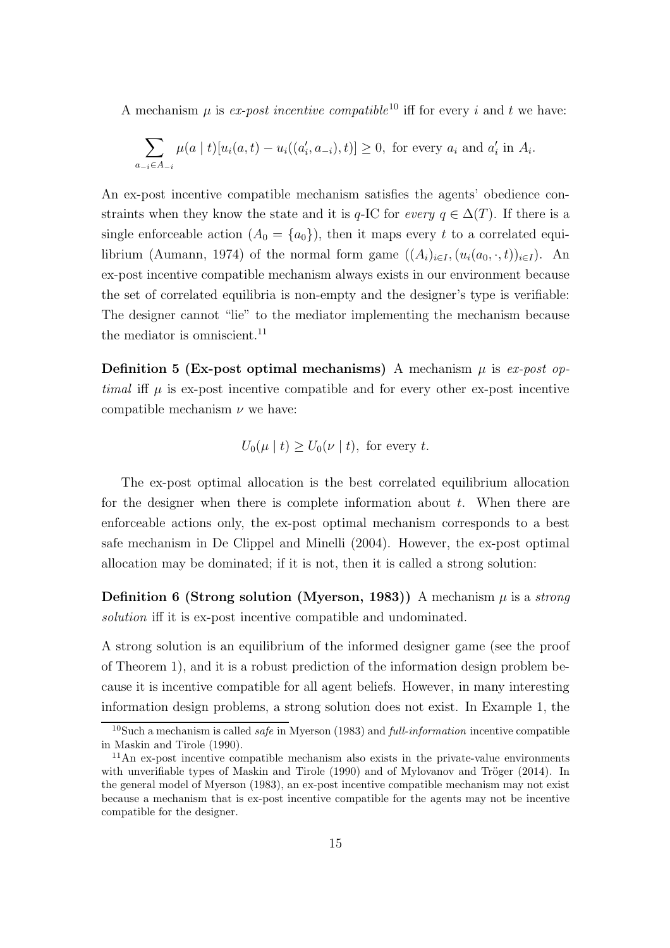A mechanism  $\mu$  is *ex-post incentive compatible*<sup>10</sup> iff for every *i* and *t* we have:

$$
\sum_{a_{-i}\in A_{-i}} \mu(a \mid t) [u_i(a, t) - u_i((a'_i, a_{-i}), t)] \ge 0, \text{ for every } a_i \text{ and } a'_i \text{ in } A_i.
$$

An ex-post incentive compatible mechanism satisfies the agents' obedience constraints when they know the state and it is q-IC for every  $q \in \Delta(T)$ . If there is a single enforceable action  $(A_0 = \{a_0\})$ , then it maps every t to a correlated equilibrium (Aumann, 1974) of the normal form game  $((A_i)_{i\in I},(u_i(a_0,\cdot,t))_{i\in I})$ . An ex-post incentive compatible mechanism always exists in our environment because the set of correlated equilibria is non-empty and the designer's type is verifiable: The designer cannot "lie" to the mediator implementing the mechanism because the mediator is omniscient.<sup>11</sup>

**Definition 5 (Ex-post optimal mechanisms)** A mechanism  $\mu$  is ex-post optimal iff  $\mu$  is ex-post incentive compatible and for every other ex-post incentive compatible mechanism  $\nu$  we have:

$$
U_0(\mu \mid t) \ge U_0(\nu \mid t)
$$
, for every  $t$ .

The ex-post optimal allocation is the best correlated equilibrium allocation for the designer when there is complete information about  $t$ . When there are enforceable actions only, the ex-post optimal mechanism corresponds to a best safe mechanism in De Clippel and Minelli (2004). However, the ex-post optimal allocation may be dominated; if it is not, then it is called a strong solution:

Definition 6 (Strong solution (Myerson, 1983)) A mechanism  $\mu$  is a *strong* solution iff it is ex-post incentive compatible and undominated.

A strong solution is an equilibrium of the informed designer game (see the proof of Theorem 1), and it is a robust prediction of the information design problem because it is incentive compatible for all agent beliefs. However, in many interesting information design problems, a strong solution does not exist. In Example 1, the

<sup>&</sup>lt;sup>10</sup>Such a mechanism is called *safe* in Myerson (1983) and *full-information* incentive compatible in Maskin and Tirole (1990).

 $11$ An ex-post incentive compatible mechanism also exists in the private-value environments with unverifiable types of Maskin and Tirole  $(1990)$  and of Mylovanov and Tröger  $(2014)$ . In the general model of Myerson (1983), an ex-post incentive compatible mechanism may not exist because a mechanism that is ex-post incentive compatible for the agents may not be incentive compatible for the designer.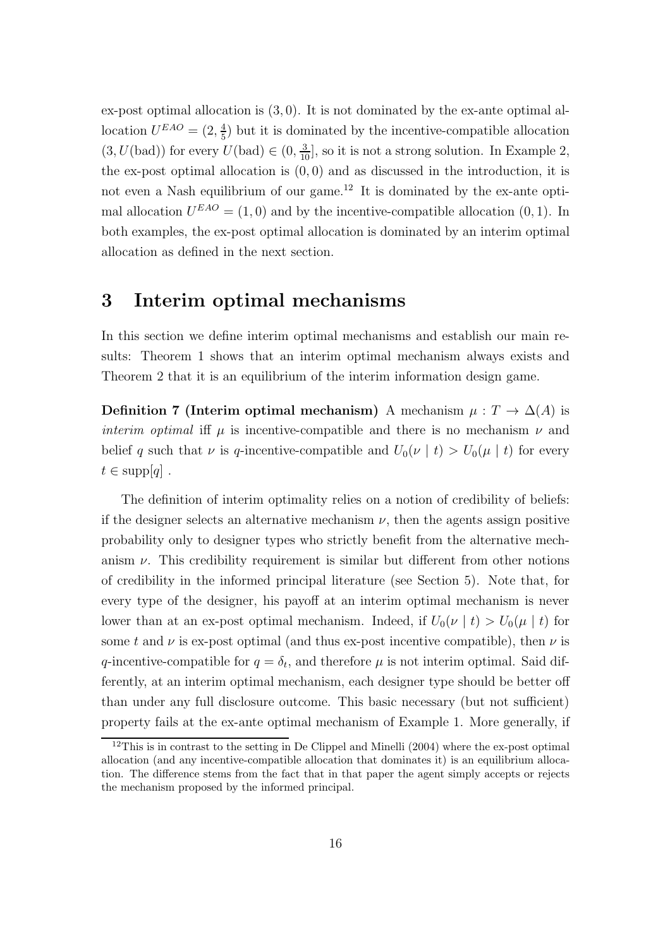ex-post optimal allocation is  $(3, 0)$ . It is not dominated by the ex-ante optimal allocation  $U^{EAO} = (2, \frac{4}{5})$  $\frac{4}{5}$ ) but it is dominated by the incentive-compatible allocation  $(3, U(\text{bad}))$  for every  $U(\text{bad}) \in (0, \frac{3}{10}]$ , so it is not a strong solution. In Example 2, the ex-post optimal allocation is  $(0, 0)$  and as discussed in the introduction, it is not even a Nash equilibrium of our game.<sup>12</sup> It is dominated by the ex-ante optimal allocation  $U^{EAO} = (1,0)$  and by the incentive-compatible allocation  $(0,1)$ . In both examples, the ex-post optimal allocation is dominated by an interim optimal allocation as defined in the next section.

### 3 Interim optimal mechanisms

In this section we define interim optimal mechanisms and establish our main results: Theorem 1 shows that an interim optimal mechanism always exists and Theorem 2 that it is an equilibrium of the interim information design game.

Definition 7 (Interim optimal mechanism) A mechanism  $\mu : T \to \Delta(A)$  is interim optimal iff  $\mu$  is incentive-compatible and there is no mechanism  $\nu$  and belief q such that  $\nu$  is q-incentive-compatible and  $U_0(\nu | t) > U_0(\mu | t)$  for every  $t \in \text{supp}[q]$ .

The definition of interim optimality relies on a notion of credibility of beliefs: if the designer selects an alternative mechanism  $\nu$ , then the agents assign positive probability only to designer types who strictly benefit from the alternative mechanism  $\nu$ . This credibility requirement is similar but different from other notions of credibility in the informed principal literature (see Section 5). Note that, for every type of the designer, his payoff at an interim optimal mechanism is never lower than at an ex-post optimal mechanism. Indeed, if  $U_0(\nu \mid t) > U_0(\mu \mid t)$  for some t and  $\nu$  is ex-post optimal (and thus ex-post incentive compatible), then  $\nu$  is q-incentive-compatible for  $q = \delta_t$ , and therefore  $\mu$  is not interim optimal. Said differently, at an interim optimal mechanism, each designer type should be better off than under any full disclosure outcome. This basic necessary (but not sufficient) property fails at the ex-ante optimal mechanism of Example 1. More generally, if

 $12$ This is in contrast to the setting in De Clippel and Minelli (2004) where the ex-post optimal allocation (and any incentive-compatible allocation that dominates it) is an equilibrium allocation. The difference stems from the fact that in that paper the agent simply accepts or rejects the mechanism proposed by the informed principal.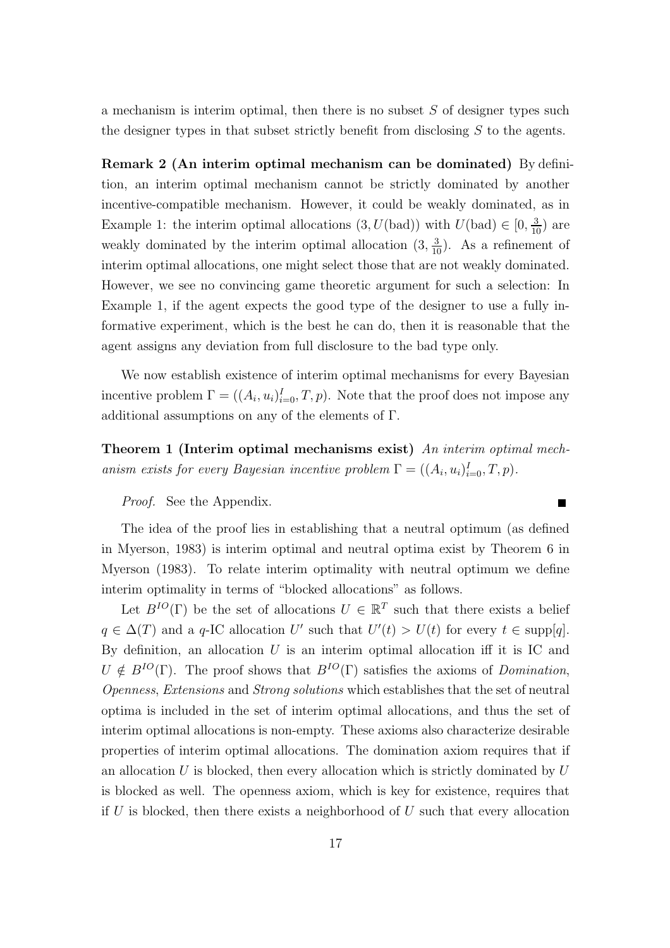a mechanism is interim optimal, then there is no subset  $S$  of designer types such the designer types in that subset strictly benefit from disclosing S to the agents.

Remark 2 (An interim optimal mechanism can be dominated) By definition, an interim optimal mechanism cannot be strictly dominated by another incentive-compatible mechanism. However, it could be weakly dominated, as in Example 1: the interim optimal allocations  $(3, U(\text{bad}))$  with  $U(\text{bad}) \in [0, \frac{3}{10})$  are weakly dominated by the interim optimal allocation  $(3, \frac{3}{10})$ . As a refinement of interim optimal allocations, one might select those that are not weakly dominated. However, we see no convincing game theoretic argument for such a selection: In Example 1, if the agent expects the good type of the designer to use a fully informative experiment, which is the best he can do, then it is reasonable that the agent assigns any deviation from full disclosure to the bad type only.

We now establish existence of interim optimal mechanisms for every Bayesian incentive problem  $\Gamma = ((A_i, u_i)_{i=0}^I, T, p)$ . Note that the proof does not impose any additional assumptions on any of the elements of Γ.

Theorem 1 (Interim optimal mechanisms exist) An interim optimal mechanism exists for every Bayesian incentive problem  $\Gamma = ((A_i, u_i)_{i=0}^I, T, p)$ .

Proof. See the Appendix.

The idea of the proof lies in establishing that a neutral optimum (as defined in Myerson, 1983) is interim optimal and neutral optima exist by Theorem 6 in Myerson (1983). To relate interim optimality with neutral optimum we define interim optimality in terms of "blocked allocations" as follows.

Let  $B^{IO}(\Gamma)$  be the set of allocations  $U \in \mathbb{R}^T$  such that there exists a belief  $q \in \Delta(T)$  and a q-IC allocation U' such that  $U'(t) > U(t)$  for every  $t \in \text{supp}[q]$ . By definition, an allocation  $U$  is an interim optimal allocation iff it is IC and  $U \notin B^{IO}(\Gamma)$ . The proof shows that  $B^{IO}(\Gamma)$  satisfies the axioms of Domination, Openness, Extensions and Strong solutions which establishes that the set of neutral optima is included in the set of interim optimal allocations, and thus the set of interim optimal allocations is non-empty. These axioms also characterize desirable properties of interim optimal allocations. The domination axiom requires that if an allocation  $U$  is blocked, then every allocation which is strictly dominated by  $U$ is blocked as well. The openness axiom, which is key for existence, requires that if U is blocked, then there exists a neighborhood of U such that every allocation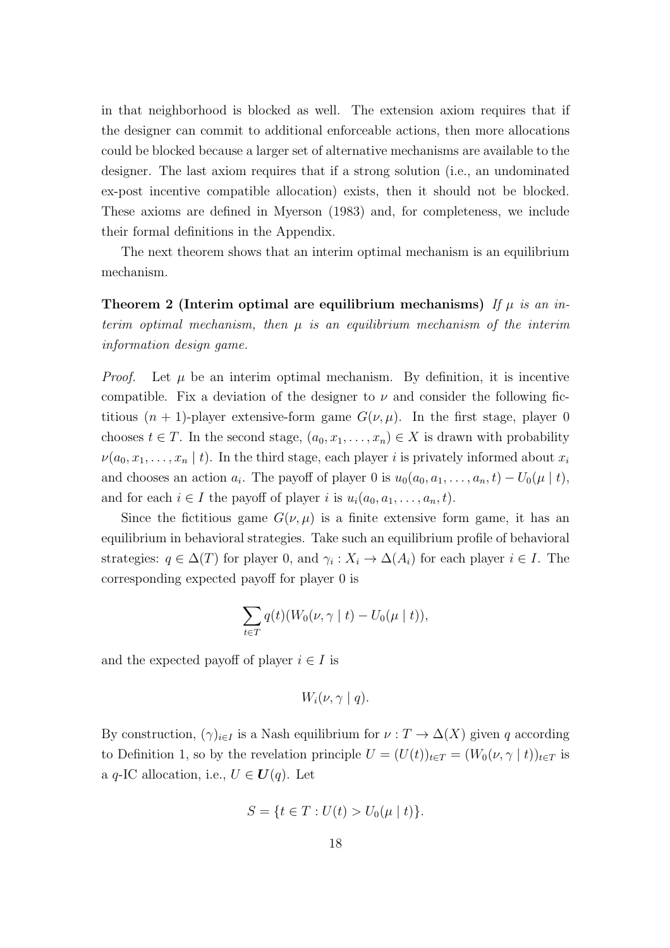in that neighborhood is blocked as well. The extension axiom requires that if the designer can commit to additional enforceable actions, then more allocations could be blocked because a larger set of alternative mechanisms are available to the designer. The last axiom requires that if a strong solution (i.e., an undominated ex-post incentive compatible allocation) exists, then it should not be blocked. These axioms are defined in Myerson (1983) and, for completeness, we include their formal definitions in the Appendix.

The next theorem shows that an interim optimal mechanism is an equilibrium mechanism.

Theorem 2 (Interim optimal are equilibrium mechanisms) If  $\mu$  is an interim optimal mechanism, then  $\mu$  is an equilibrium mechanism of the interim information design game.

*Proof.* Let  $\mu$  be an interim optimal mechanism. By definition, it is incentive compatible. Fix a deviation of the designer to  $\nu$  and consider the following fictitious  $(n + 1)$ -player extensive-form game  $G(\nu, \mu)$ . In the first stage, player 0 chooses  $t \in T$ . In the second stage,  $(a_0, x_1, \ldots, x_n) \in X$  is drawn with probability  $\nu(a_0, x_1, \ldots, x_n | t)$ . In the third stage, each player i is privately informed about  $x_i$ and chooses an action  $a_i$ . The payoff of player 0 is  $u_0(a_0, a_1, \ldots, a_n, t) - U_0(\mu \mid t)$ , and for each  $i \in I$  the payoff of player i is  $u_i(a_0, a_1, \ldots, a_n, t)$ .

Since the fictitious game  $G(\nu,\mu)$  is a finite extensive form game, it has an equilibrium in behavioral strategies. Take such an equilibrium profile of behavioral strategies:  $q \in \Delta(T)$  for player 0, and  $\gamma_i : X_i \to \Delta(A_i)$  for each player  $i \in I$ . The corresponding expected payoff for player 0 is

$$
\sum_{t \in T} q(t) (W_0(\nu, \gamma \mid t) - U_0(\mu \mid t)),
$$

and the expected payoff of player  $i \in I$  is

$$
W_i(\nu, \gamma \mid q).
$$

By construction,  $(\gamma)_{i\in I}$  is a Nash equilibrium for  $\nu : T \to \Delta(X)$  given q according to Definition 1, so by the revelation principle  $U = (U(t))_{t \in T} = (W_0(\nu, \gamma \mid t))_{t \in T}$  is a q-IC allocation, i.e.,  $U \in U(q)$ . Let

$$
S = \{ t \in T : U(t) > U_0(\mu \mid t) \}.
$$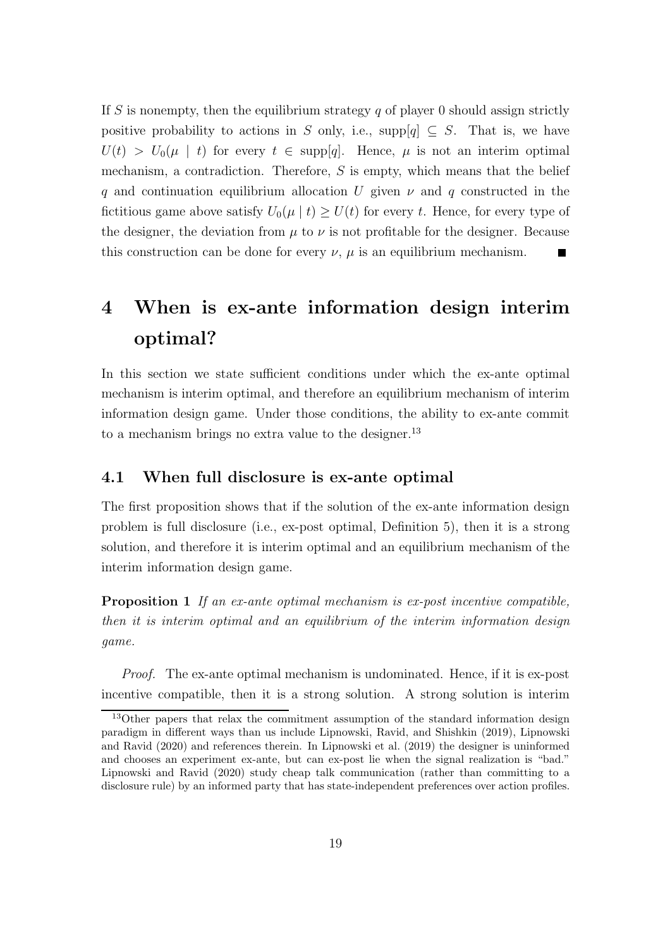If S is nonempty, then the equilibrium strategy  $q$  of player 0 should assign strictly positive probability to actions in S only, i.e., supp[q]  $\subseteq S$ . That is, we have  $U(t) > U_0(\mu \mid t)$  for every  $t \in \text{supp}[q]$ . Hence,  $\mu$  is not an interim optimal mechanism, a contradiction. Therefore, S is empty, which means that the belief q and continuation equilibrium allocation U given  $\nu$  and q constructed in the fictitious game above satisfy  $U_0(\mu | t) \ge U(t)$  for every t. Hence, for every type of the designer, the deviation from  $\mu$  to  $\nu$  is not profitable for the designer. Because this construction can be done for every  $\nu$ ,  $\mu$  is an equilibrium mechanism.  $\blacksquare$ 

# 4 When is ex-ante information design interim optimal?

In this section we state sufficient conditions under which the ex-ante optimal mechanism is interim optimal, and therefore an equilibrium mechanism of interim information design game. Under those conditions, the ability to ex-ante commit to a mechanism brings no extra value to the designer.<sup>13</sup>

#### 4.1 When full disclosure is ex-ante optimal

The first proposition shows that if the solution of the ex-ante information design problem is full disclosure (i.e., ex-post optimal, Definition 5), then it is a strong solution, and therefore it is interim optimal and an equilibrium mechanism of the interim information design game.

Proposition 1 If an ex-ante optimal mechanism is ex-post incentive compatible, then it is interim optimal and an equilibrium of the interim information design game.

Proof. The ex-ante optimal mechanism is undominated. Hence, if it is ex-post incentive compatible, then it is a strong solution. A strong solution is interim

<sup>&</sup>lt;sup>13</sup>Other papers that relax the commitment assumption of the standard information design paradigm in different ways than us include Lipnowski, Ravid, and Shishkin (2019), Lipnowski and Ravid (2020) and references therein. In Lipnowski et al. (2019) the designer is uninformed and chooses an experiment ex-ante, but can ex-post lie when the signal realization is "bad." Lipnowski and Ravid (2020) study cheap talk communication (rather than committing to a disclosure rule) by an informed party that has state-independent preferences over action profiles.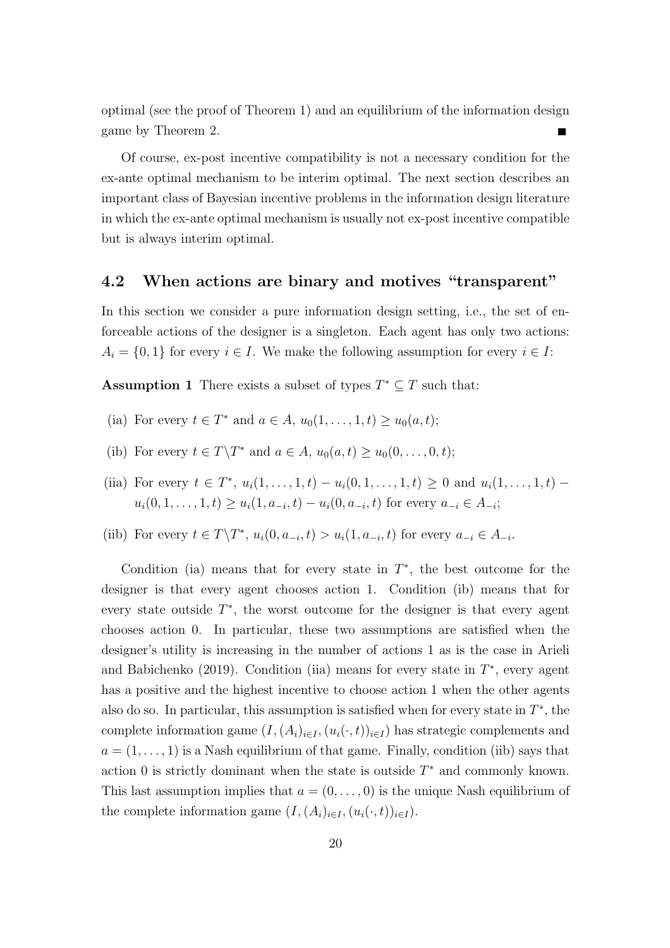optimal (see the proof of Theorem 1) and an equilibrium of the information design game by Theorem 2.

Of course, ex-post incentive compatibility is not a necessary condition for the ex-ante optimal mechanism to be interim optimal. The next section describes an important class of Bayesian incentive problems in the information design literature in which the ex-ante optimal mechanism is usually not ex-post incentive compatible but is always interim optimal.

#### 4.2 When actions are binary and motives "transparent"

In this section we consider a pure information design setting, i.e., the set of enforceable actions of the designer is a singleton. Each agent has only two actions:  $A_i = \{0, 1\}$  for every  $i \in I$ . We make the following assumption for every  $i \in I$ :

**Assumption 1** There exists a subset of types  $T^* \subseteq T$  such that:

- (ia) For every  $t \in T^*$  and  $a \in A$ ,  $u_0(1,\ldots,1,t) \ge u_0(a,t);$
- (ib) For every  $t \in T\backslash T^*$  and  $a \in A$ ,  $u_0(a, t) \ge u_0(0, \ldots, 0, t);$
- (iia) For every  $t \in T^*$ ,  $u_i(1, \ldots, 1, t) u_i(0, 1, \ldots, 1, t) \geq 0$  and  $u_i(1, \ldots, 1, t)$  $u_i(0,1,\ldots,1,t) \ge u_i(1,a_{-i},t) - u_i(0,a_{-i},t)$  for every  $a_{-i} \in A_{-i}$ ;
- (iib) For every  $t \in T \backslash T^*$ ,  $u_i(0, a_{-i}, t) > u_i(1, a_{-i}, t)$  for every  $a_{-i} \in A_{-i}$ .

Condition (ia) means that for every state in  $T^*$ , the best outcome for the designer is that every agent chooses action 1. Condition (ib) means that for every state outside  $T^*$ , the worst outcome for the designer is that every agent chooses action 0. In particular, these two assumptions are satisfied when the designer's utility is increasing in the number of actions 1 as is the case in Arieli and Babichenko (2019). Condition (iia) means for every state in  $T^*$ , every agent has a positive and the highest incentive to choose action 1 when the other agents also do so. In particular, this assumption is satisfied when for every state in  $T^*$ , the complete information game  $(I,(A_i)_{i\in I},(u_i(\cdot,t))_{i\in I})$  has strategic complements and  $a = (1, \ldots, 1)$  is a Nash equilibrium of that game. Finally, condition (iib) says that action 0 is strictly dominant when the state is outside  $T^*$  and commonly known. This last assumption implies that  $a = (0, \ldots, 0)$  is the unique Nash equilibrium of the complete information game  $(I, (A_i)_{i \in I}, (u_i(\cdot, t))_{i \in I})$ .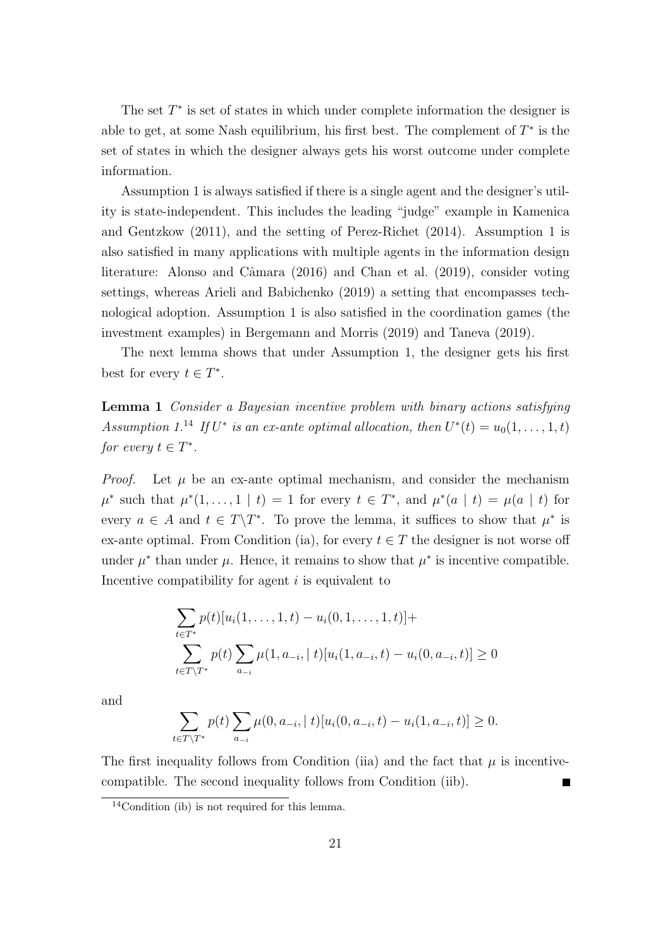The set  $T^*$  is set of states in which under complete information the designer is able to get, at some Nash equilibrium, his first best. The complement of  $T^*$  is the set of states in which the designer always gets his worst outcome under complete information.

Assumption 1 is always satisfied if there is a single agent and the designer's utility is state-independent. This includes the leading "judge" example in Kamenica and Gentzkow (2011), and the setting of Perez-Richet (2014). Assumption 1 is also satisfied in many applications with multiple agents in the information design literature: Alonso and Câmara (2016) and Chan et al. (2019), consider voting settings, whereas Arieli and Babichenko (2019) a setting that encompasses technological adoption. Assumption 1 is also satisfied in the coordination games (the investment examples) in Bergemann and Morris (2019) and Taneva (2019).

The next lemma shows that under Assumption 1, the designer gets his first best for every  $t \in T^*$ .

Lemma 1 Consider a Bayesian incentive problem with binary actions satisfying Assumption 1.<sup>14</sup> If  $U^*$  is an ex-ante optimal allocation, then  $U^*(t) = u_0(1,\ldots,1,t)$ for every  $t \in T^*$ .

*Proof.* Let  $\mu$  be an ex-ante optimal mechanism, and consider the mechanism  $\mu^*$  such that  $\mu^*(1,\ldots,1 \mid t) = 1$  for every  $t \in T^*$ , and  $\mu^*(a \mid t) = \mu(a \mid t)$  for every  $a \in A$  and  $t \in T\backslash T^*$ . To prove the lemma, it suffices to show that  $\mu^*$  is ex-ante optimal. From Condition (ia), for every  $t \in T$  the designer is not worse off under  $\mu^*$  than under  $\mu$ . Hence, it remains to show that  $\mu^*$  is incentive compatible. Incentive compatibility for agent i is equivalent to

$$
\sum_{t \in T^*} p(t)[u_i(1,\ldots,1,t) - u_i(0,1,\ldots,1,t)] +
$$
  

$$
\sum_{t \in T \setminus T^*} p(t) \sum_{a_{-i}} \mu(1,a_{-i},|t)[u_i(1,a_{-i},t) - u_i(0,a_{-i},t)] \ge 0
$$

and

$$
\sum_{t \in T \setminus T^*} p(t) \sum_{a_{-i}} \mu(0, a_{-i}, |t) [u_i(0, a_{-i}, t) - u_i(1, a_{-i}, t)] \ge 0.
$$

The first inequality follows from Condition (iia) and the fact that  $\mu$  is incentivecompatible. The second inequality follows from Condition (iib).  $\blacksquare$ 

 $14$ Condition (ib) is not required for this lemma.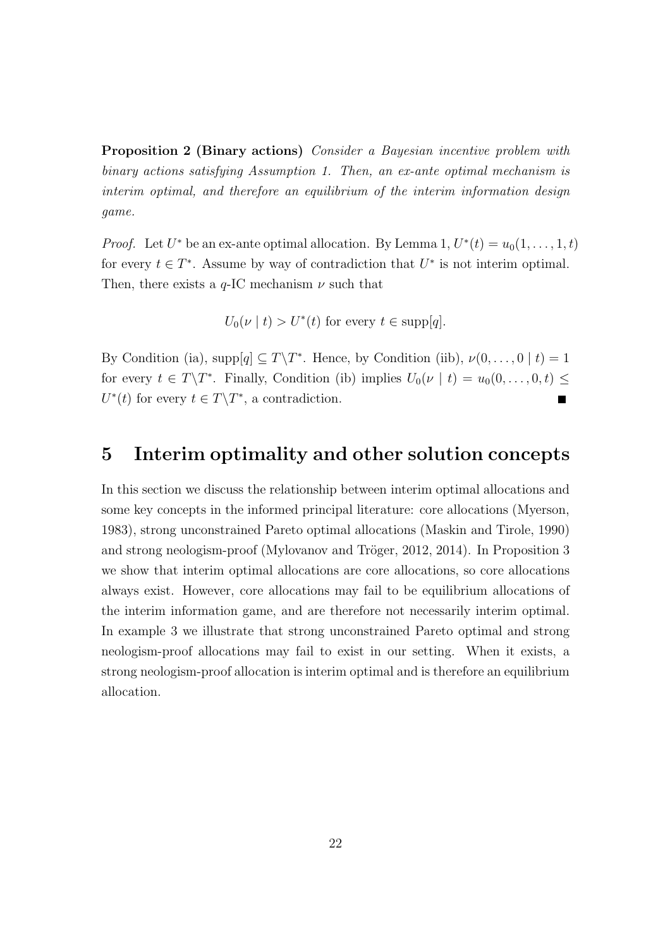Proposition 2 (Binary actions) Consider a Bayesian incentive problem with binary actions satisfying Assumption 1. Then, an ex-ante optimal mechanism is interim optimal, and therefore an equilibrium of the interim information design game.

*Proof.* Let  $U^*$  be an ex-ante optimal allocation. By Lemma 1,  $U^*(t) = u_0(1, \ldots, 1, t)$ for every  $t \in T^*$ . Assume by way of contradiction that  $U^*$  is not interim optimal. Then, there exists a  $q$ -IC mechanism  $\nu$  such that

 $U_0(\nu \mid t) > U^*(t)$  for every  $t \in \text{supp}[q]$ .

By Condition (ia),  $\text{supp}[q] \subseteq T \backslash T^*$ . Hence, by Condition (iib),  $\nu(0,\ldots,0 \mid t) = 1$ for every  $t \in T\backslash T^*$ . Finally, Condition (ib) implies  $U_0(\nu \mid t) = u_0(0,\ldots,0,t) \leq$  $U^*(t)$  for every  $t \in T \backslash T^*$ , a contradiction. Е

## 5 Interim optimality and other solution concepts

In this section we discuss the relationship between interim optimal allocations and some key concepts in the informed principal literature: core allocations (Myerson, 1983), strong unconstrained Pareto optimal allocations (Maskin and Tirole, 1990) and strong neologism-proof (Mylovanov and Tröger, 2012, 2014). In Proposition 3 we show that interim optimal allocations are core allocations, so core allocations always exist. However, core allocations may fail to be equilibrium allocations of the interim information game, and are therefore not necessarily interim optimal. In example 3 we illustrate that strong unconstrained Pareto optimal and strong neologism-proof allocations may fail to exist in our setting. When it exists, a strong neologism-proof allocation is interim optimal and is therefore an equilibrium allocation.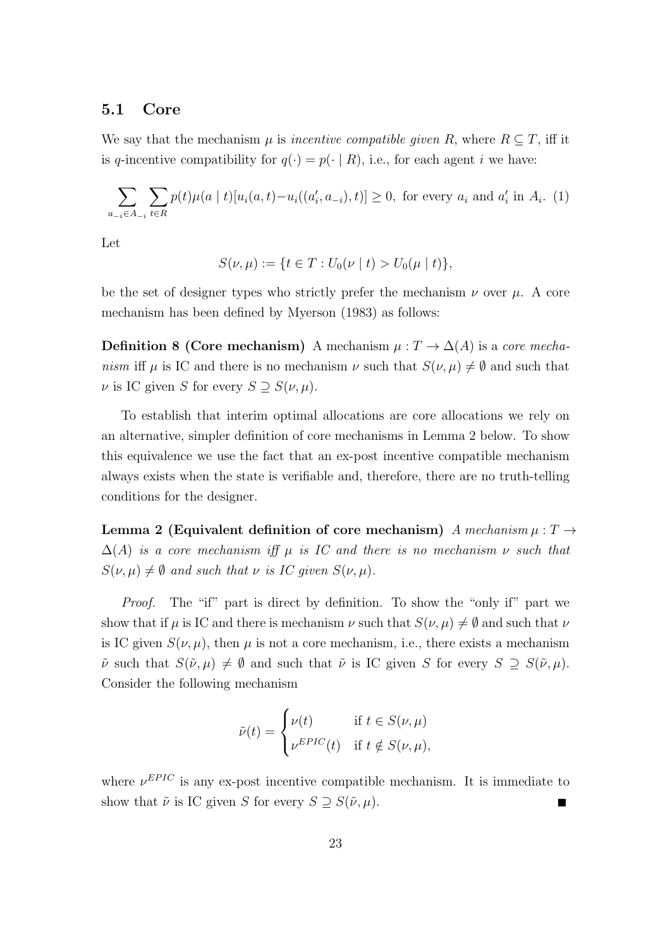#### 5.1 Core

We say that the mechanism  $\mu$  is *incentive compatible given* R, where  $R \subseteq T$ , iff it is q-incentive compatibility for  $q(\cdot) = p(\cdot | R)$ , i.e., for each agent i we have:

$$
\sum_{a_{-i}\in A_{-i}} \sum_{t\in R} p(t)\mu(a \mid t) [u_i(a, t) - u_i((a'_i, a_{-i}), t)] \ge 0, \text{ for every } a_i \text{ and } a'_i \text{ in } A_i. (1)
$$

Let

$$
S(\nu,\mu) := \{ t \in T : U_0(\nu \mid t) > U_0(\mu \mid t) \},
$$

be the set of designer types who strictly prefer the mechanism  $\nu$  over  $\mu$ . A core mechanism has been defined by Myerson (1983) as follows:

**Definition 8 (Core mechanism)** A mechanism  $\mu : T \to \Delta(A)$  is a core mechanism iff  $\mu$  is IC and there is no mechanism  $\nu$  such that  $S(\nu, \mu) \neq \emptyset$  and such that  $\nu$  is IC given S for every  $S \supseteq S(\nu, \mu)$ .

To establish that interim optimal allocations are core allocations we rely on an alternative, simpler definition of core mechanisms in Lemma 2 below. To show this equivalence we use the fact that an ex-post incentive compatible mechanism always exists when the state is verifiable and, therefore, there are no truth-telling conditions for the designer.

Lemma 2 (Equivalent definition of core mechanism) A mechanism  $\mu : T \rightarrow$  $\Delta(A)$  is a core mechanism iff  $\mu$  is IC and there is no mechanism  $\nu$  such that  $S(\nu, \mu) \neq \emptyset$  and such that  $\nu$  is IC given  $S(\nu, \mu)$ .

Proof. The "if" part is direct by definition. To show the "only if" part we show that if  $\mu$  is IC and there is mechanism  $\nu$  such that  $S(\nu, \mu) \neq \emptyset$  and such that  $\nu$ is IC given  $S(\nu, \mu)$ , then  $\mu$  is not a core mechanism, i.e., there exists a mechanism  $\tilde{\nu}$  such that  $S(\tilde{\nu}, \mu) \neq \emptyset$  and such that  $\tilde{\nu}$  is IC given S for every  $S \supseteq S(\tilde{\nu}, \mu)$ . Consider the following mechanism

$$
\tilde{\nu}(t) = \begin{cases} \nu(t) & \text{if } t \in S(\nu, \mu) \\ \nu^{EPIC}(t) & \text{if } t \notin S(\nu, \mu), \end{cases}
$$

where  $\nu^{EPIC}$  is any ex-post incentive compatible mechanism. It is immediate to show that  $\tilde{\nu}$  is IC given S for every  $S \supseteq S(\tilde{\nu}, \mu)$ . Ξ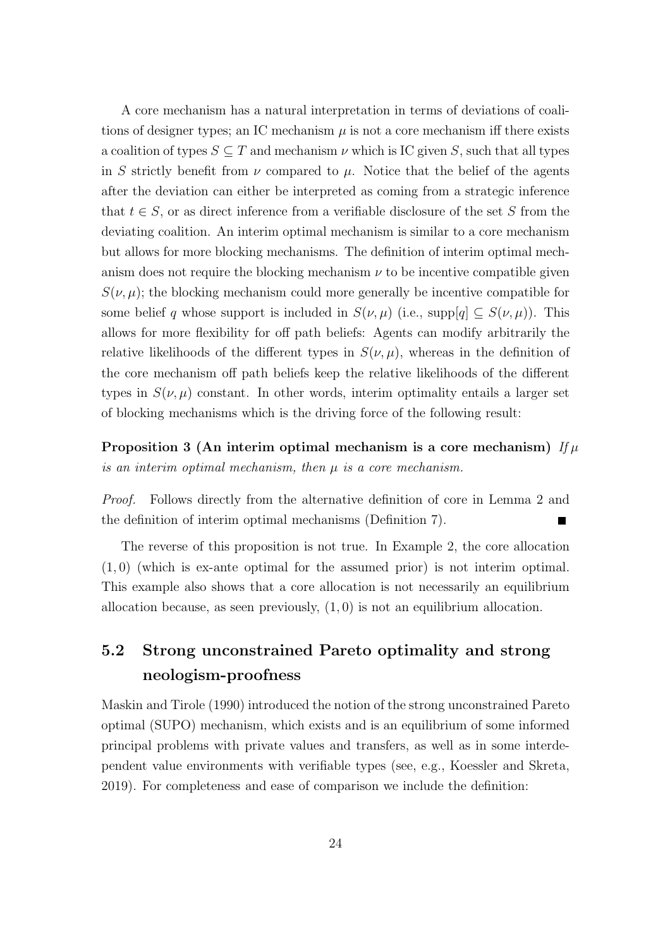A core mechanism has a natural interpretation in terms of deviations of coalitions of designer types; an IC mechanism  $\mu$  is not a core mechanism iff there exists a coalition of types  $S \subseteq T$  and mechanism  $\nu$  which is IC given S, such that all types in S strictly benefit from  $\nu$  compared to  $\mu$ . Notice that the belief of the agents after the deviation can either be interpreted as coming from a strategic inference that  $t \in S$ , or as direct inference from a verifiable disclosure of the set S from the deviating coalition. An interim optimal mechanism is similar to a core mechanism but allows for more blocking mechanisms. The definition of interim optimal mechanism does not require the blocking mechanism  $\nu$  to be incentive compatible given  $S(\nu, \mu)$ ; the blocking mechanism could more generally be incentive compatible for some belief q whose support is included in  $S(\nu, \mu)$  (i.e., supp[q]  $\subseteq S(\nu, \mu)$ ). This allows for more flexibility for off path beliefs: Agents can modify arbitrarily the relative likelihoods of the different types in  $S(\nu, \mu)$ , whereas in the definition of the core mechanism off path beliefs keep the relative likelihoods of the different types in  $S(\nu, \mu)$  constant. In other words, interim optimality entails a larger set of blocking mechanisms which is the driving force of the following result:

Proposition 3 (An interim optimal mechanism is a core mechanism)  $If \mu$ is an interim optimal mechanism, then  $\mu$  is a core mechanism.

Proof. Follows directly from the alternative definition of core in Lemma 2 and the definition of interim optimal mechanisms (Definition 7).

The reverse of this proposition is not true. In Example 2, the core allocation (1, 0) (which is ex-ante optimal for the assumed prior) is not interim optimal. This example also shows that a core allocation is not necessarily an equilibrium allocation because, as seen previously,  $(1, 0)$  is not an equilibrium allocation.

# 5.2 Strong unconstrained Pareto optimality and strong neologism-proofness

Maskin and Tirole (1990) introduced the notion of the strong unconstrained Pareto optimal (SUPO) mechanism, which exists and is an equilibrium of some informed principal problems with private values and transfers, as well as in some interdependent value environments with verifiable types (see, e.g., Koessler and Skreta, 2019). For completeness and ease of comparison we include the definition: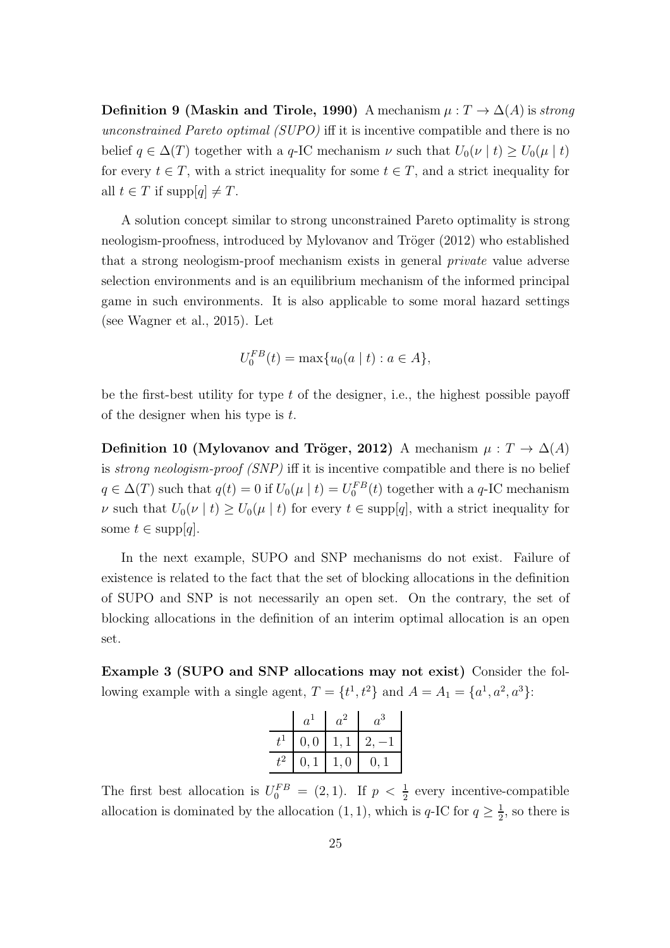Definition 9 (Maskin and Tirole, 1990) A mechanism  $\mu : T \to \Delta(A)$  is strong unconstrained Pareto optimal (SUPO) iff it is incentive compatible and there is no belief  $q \in \Delta(T)$  together with a q-IC mechanism  $\nu$  such that  $U_0(\nu \mid t) \ge U_0(\mu \mid t)$ for every  $t \in T$ , with a strict inequality for some  $t \in T$ , and a strict inequality for all  $t \in T$  if supp $|q| \neq T$ .

A solution concept similar to strong unconstrained Pareto optimality is strong neologism-proofness, introduced by Mylovanov and Tröger (2012) who established that a strong neologism-proof mechanism exists in general private value adverse selection environments and is an equilibrium mechanism of the informed principal game in such environments. It is also applicable to some moral hazard settings (see Wagner et al., 2015). Let

$$
U_0^{FB}(t) = \max\{u_0(a \mid t) : a \in A\},\
$$

be the first-best utility for type  $t$  of the designer, i.e., the highest possible payoff of the designer when his type is  $t$ .

Definition 10 (Mylovanov and Tröger, 2012) A mechanism  $\mu : T \to \Delta(A)$ is *strong neologism-proof (SNP)* iff it is incentive compatible and there is no belief  $q \in \Delta(T)$  such that  $q(t) = 0$  if  $U_0(\mu \mid t) = U_0^{FB}(t)$  together with a q-IC mechanism v such that  $U_0(\nu \mid t) \geq U_0(\mu \mid t)$  for every  $t \in \text{supp}[q]$ , with a strict inequality for some  $t \in \text{supp}[q]$ .

In the next example, SUPO and SNP mechanisms do not exist. Failure of existence is related to the fact that the set of blocking allocations in the definition of SUPO and SNP is not necessarily an open set. On the contrary, the set of blocking allocations in the definition of an interim optimal allocation is an open set.

Example 3 (SUPO and SNP allocations may not exist) Consider the following example with a single agent,  $T = \{t^1, t^2\}$  and  $A = A_1 = \{a^1, a^2, a^3\}$ :

| $a^{\mathbf{A}}$ | $a^2$ | $a^3$ |
|------------------|-------|-------|
| 0, 0             |       |       |
| 0. 1             | l.O   | 0. 1  |

The first best allocation is  $U_0^{FB} = (2, 1)$ . If  $p < \frac{1}{2}$  every incentive-compatible allocation is dominated by the allocation  $(1, 1)$ , which is q-IC for  $q \geq \frac{1}{2}$  $\frac{1}{2}$ , so there is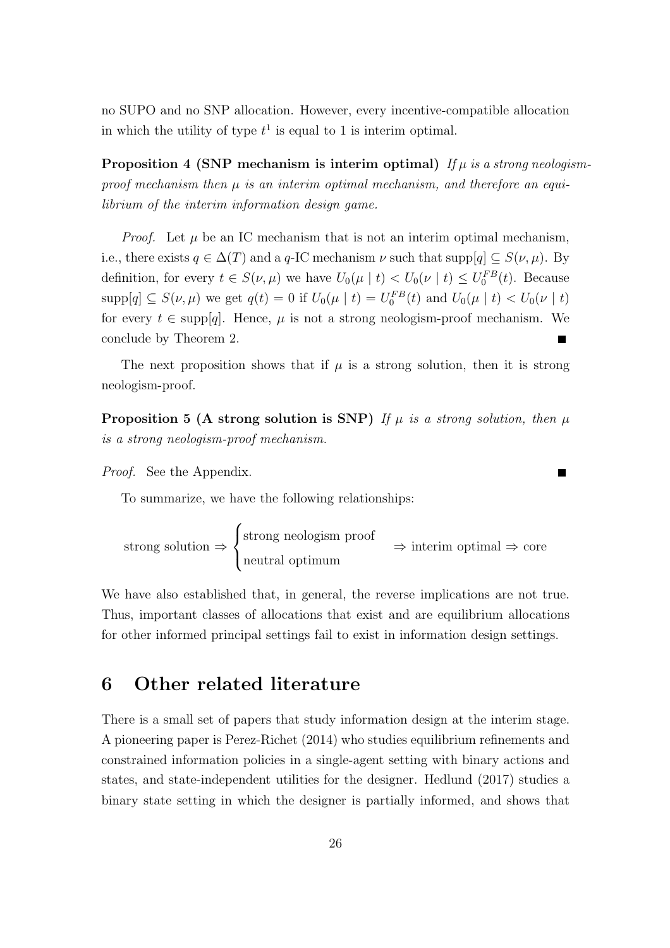no SUPO and no SNP allocation. However, every incentive-compatible allocation in which the utility of type  $t^1$  is equal to 1 is interim optimal.

**Proposition 4 (SNP mechanism is interim optimal)** If  $\mu$  is a strong neologismproof mechanism then  $\mu$  is an interim optimal mechanism, and therefore an equilibrium of the interim information design game.

*Proof.* Let  $\mu$  be an IC mechanism that is not an interim optimal mechanism, i.e., there exists  $q \in \Delta(T)$  and a q-IC mechanism  $\nu$  such that supp $[q] \subseteq S(\nu, \mu)$ . By definition, for every  $t \in S(\nu, \mu)$  we have  $U_0(\mu \mid t) < U_0(\nu \mid t) \leq U_0^{FB}(t)$ . Because  $\text{supp}[q] \subseteq S(\nu, \mu)$  we get  $q(t) = 0$  if  $U_0(\mu \mid t) = U_0^{FB}(t)$  and  $U_0(\mu \mid t) < U_0(\nu \mid t)$ for every  $t \in \text{supp}[q]$ . Hence,  $\mu$  is not a strong neologism-proof mechanism. We conclude by Theorem 2.

The next proposition shows that if  $\mu$  is a strong solution, then it is strong neologism-proof.

**Proposition 5 (A strong solution is SNP)** If  $\mu$  is a strong solution, then  $\mu$ is a strong neologism-proof mechanism.

 $\blacksquare$ 

Proof. See the Appendix.

To summarize, we have the following relationships:

strong solution ⇒  $\sqrt{ }$  $\int$  $\mathcal{L}$ strong neologism proof neutral optimum  $\Rightarrow$  interim optimal  $\Rightarrow$  core

We have also established that, in general, the reverse implications are not true. Thus, important classes of allocations that exist and are equilibrium allocations for other informed principal settings fail to exist in information design settings.

### 6 Other related literature

There is a small set of papers that study information design at the interim stage. A pioneering paper is Perez-Richet (2014) who studies equilibrium refinements and constrained information policies in a single-agent setting with binary actions and states, and state-independent utilities for the designer. Hedlund (2017) studies a binary state setting in which the designer is partially informed, and shows that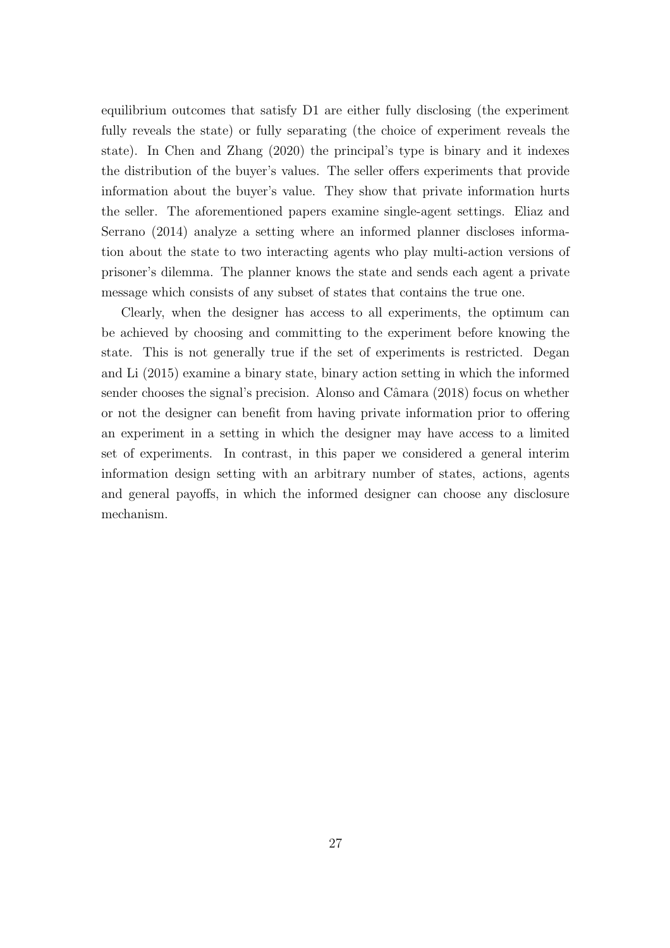equilibrium outcomes that satisfy D1 are either fully disclosing (the experiment fully reveals the state) or fully separating (the choice of experiment reveals the state). In Chen and Zhang (2020) the principal's type is binary and it indexes the distribution of the buyer's values. The seller offers experiments that provide information about the buyer's value. They show that private information hurts the seller. The aforementioned papers examine single-agent settings. Eliaz and Serrano (2014) analyze a setting where an informed planner discloses information about the state to two interacting agents who play multi-action versions of prisoner's dilemma. The planner knows the state and sends each agent a private message which consists of any subset of states that contains the true one.

Clearly, when the designer has access to all experiments, the optimum can be achieved by choosing and committing to the experiment before knowing the state. This is not generally true if the set of experiments is restricted. Degan and Li (2015) examine a binary state, binary action setting in which the informed sender chooses the signal's precision. Alonso and Câmara  $(2018)$  focus on whether or not the designer can benefit from having private information prior to offering an experiment in a setting in which the designer may have access to a limited set of experiments. In contrast, in this paper we considered a general interim information design setting with an arbitrary number of states, actions, agents and general payoffs, in which the informed designer can choose any disclosure mechanism.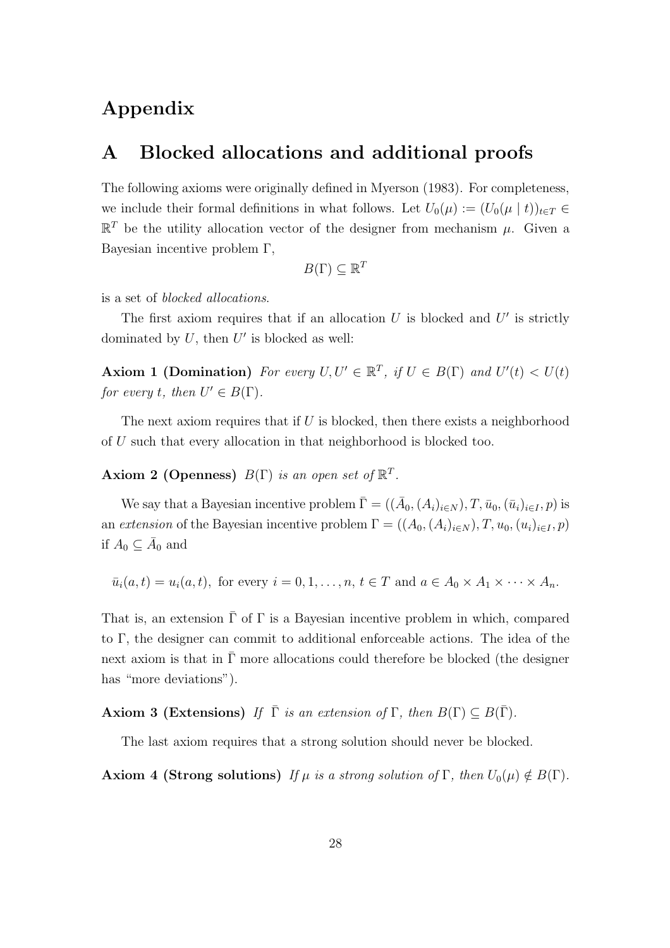# Appendix

## A Blocked allocations and additional proofs

The following axioms were originally defined in Myerson (1983). For completeness, we include their formal definitions in what follows. Let  $U_0(\mu) := (U_0(\mu | t))_{t \in T} \in$  $\mathbb{R}^T$  be the utility allocation vector of the designer from mechanism  $\mu$ . Given a Bayesian incentive problem Γ,

$$
B(\Gamma) \subseteq \mathbb{R}^T
$$

is a set of blocked allocations.

The first axiom requires that if an allocation  $U$  is blocked and  $U'$  is strictly dominated by  $U$ , then  $U'$  is blocked as well:

Axiom 1 (Domination) For every  $U, U' \in \mathbb{R}^T$ , if  $U \in B(\Gamma)$  and  $U'(t) < U(t)$ for every t, then  $U' \in B(\Gamma)$ .

The next axiom requires that if  $U$  is blocked, then there exists a neighborhood of U such that every allocation in that neighborhood is blocked too.

Axiom 2 (Openness)  $B(\Gamma)$  is an open set of  $\mathbb{R}^T$ .

We say that a Bayesian incentive problem  $\bar{\Gamma} = ((\bar{A}_0, (A_i)_{i \in N}), T, \bar{u}_0, (\bar{u}_i)_{i \in I}, p)$  is an extension of the Bayesian incentive problem  $\Gamma = ((A_0, (A_i)_{i \in N}), T, u_0, (u_i)_{i \in I}, p)$ if  $A_0 \subseteq \overline{A}_0$  and

$$
\bar{u}_i(a,t) = u_i(a,t)
$$
, for every  $i = 0, 1, ..., n, t \in T$  and  $a \in A_0 \times A_1 \times \cdots \times A_n$ .

That is, an extension  $\bar{\Gamma}$  of  $\Gamma$  is a Bayesian incentive problem in which, compared to Γ, the designer can commit to additional enforceable actions. The idea of the next axiom is that in  $\overline{\Gamma}$  more allocations could therefore be blocked (the designer has "more deviations").

Axiom 3 (Extensions) If  $\overline{\Gamma}$  is an extension of  $\Gamma$ , then  $B(\Gamma) \subset B(\overline{\Gamma})$ .

The last axiom requires that a strong solution should never be blocked.

Axiom 4 (Strong solutions) If  $\mu$  is a strong solution of  $\Gamma$ , then  $U_0(\mu) \notin B(\Gamma)$ .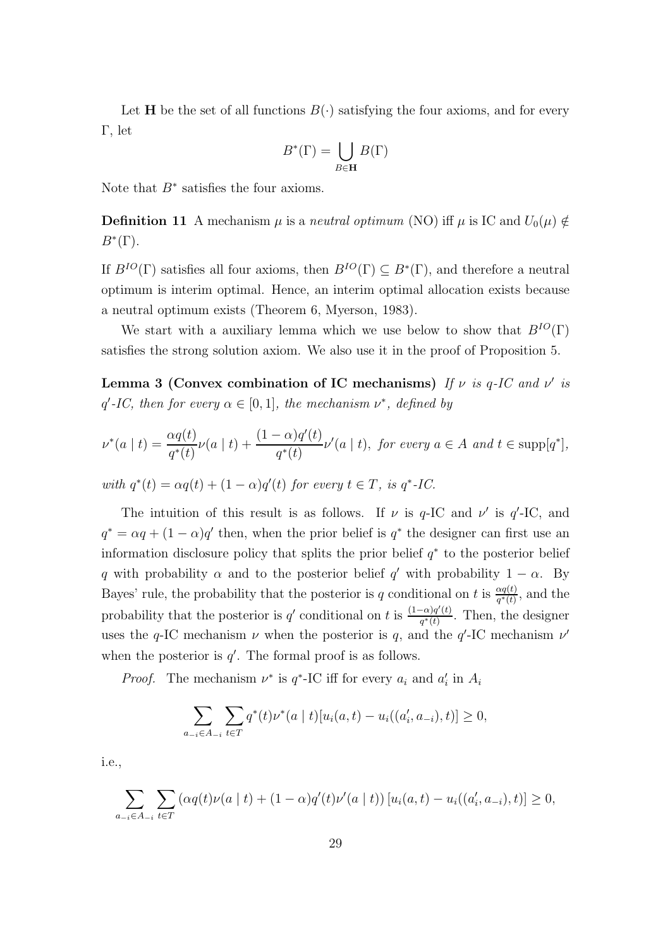Let **H** be the set of all functions  $B(\cdot)$  satisfying the four axioms, and for every Γ, let

$$
B^*(\Gamma) = \bigcup_{B \in \mathbf{H}} B(\Gamma)
$$

Note that  $B^*$  satisfies the four axioms.

**Definition 11** A mechanism  $\mu$  is a neutral optimum (NO) iff  $\mu$  is IC and  $U_0(\mu) \notin$  $B^*(\Gamma)$ .

If  $B^{IO}(\Gamma)$  satisfies all four axioms, then  $B^{IO}(\Gamma) \subseteq B^*(\Gamma)$ , and therefore a neutral optimum is interim optimal. Hence, an interim optimal allocation exists because a neutral optimum exists (Theorem 6, Myerson, 1983).

We start with a auxiliary lemma which we use below to show that  $B^{IO}(\Gamma)$ satisfies the strong solution axiom. We also use it in the proof of Proposition 5.

Lemma 3 (Convex combination of IC mechanisms) If  $\nu$  is q-IC and  $\nu'$  is q'-IC, then for every  $\alpha \in [0,1]$ , the mechanism  $\nu^*$ , defined by

$$
\nu^*(a \mid t) = \frac{\alpha q(t)}{q^*(t)}\nu(a \mid t) + \frac{(1-\alpha)q'(t)}{q^*(t)}\nu'(a \mid t), \text{ for every } a \in A \text{ and } t \in \text{supp}[q^*],
$$

with  $q^*(t) = \alpha q(t) + (1 - \alpha)q'(t)$  for every  $t \in T$ , is  $q^*$ -IC.

The intuition of this result is as follows. If  $\nu$  is  $q$ -IC and  $\nu'$  is  $q'$ -IC, and  $q^* = \alpha q + (1 - \alpha)q'$  then, when the prior belief is  $q^*$  the designer can first use an information disclosure policy that splits the prior belief  $q^*$  to the posterior belief q with probability  $\alpha$  and to the posterior belief q' with probability  $1 - \alpha$ . By Bayes' rule, the probability that the posterior is q conditional on t is  $\frac{aq(t)}{q^*(t)}$ , and the probability that the posterior is q' conditional on t is  $\frac{(1-\alpha)q'(t)}{q^*(t)}$  $\frac{(-\alpha)q(t)}{q^*(t)}$ . Then, the designer uses the q-IC mechanism  $\nu$  when the posterior is q, and the q'-IC mechanism  $\nu'$ when the posterior is  $q'$ . The formal proof is as follows.

*Proof.* The mechanism  $\nu^*$  is  $q^*$ -IC iff for every  $a_i$  and  $a'_i$  in  $A_i$ 

$$
\sum_{a_{-i}\in A_{-i}} \sum_{t\in T} q^*(t) \nu^*(a \mid t) [u_i(a, t) - u_i((a'_i, a_{-i}), t)] \ge 0,
$$

i.e.,

$$
\sum_{a_{-i}\in A_{-i}} \sum_{t\in T} \left( \alpha q(t) \nu(a \mid t) + (1-\alpha) q'(t) \nu'(a \mid t) \right) [u_i(a, t) - u_i((a'_i, a_{-i}), t)] \ge 0,
$$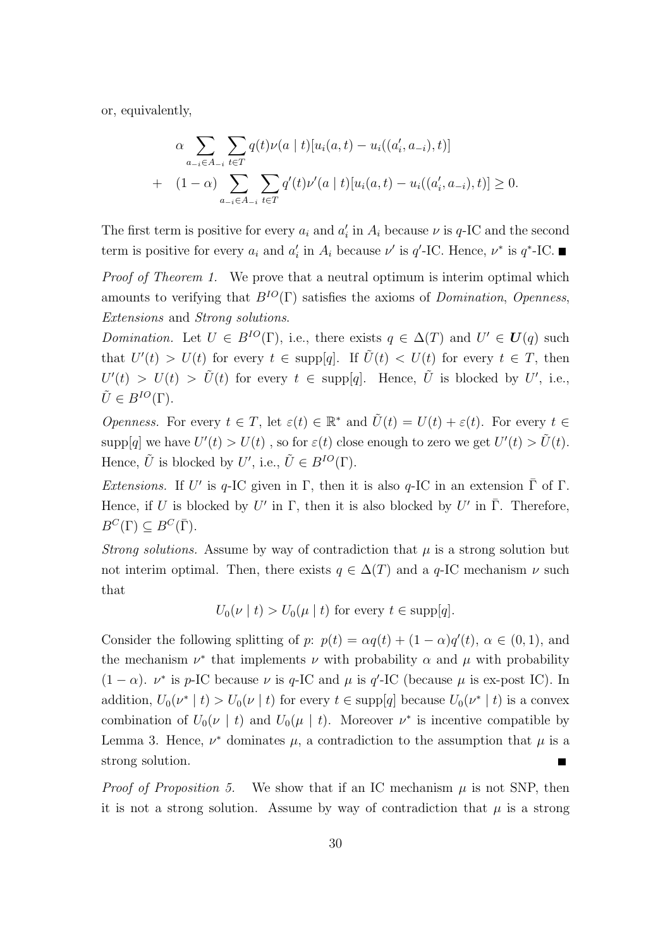or, equivalently,

$$
\alpha \sum_{a_{-i} \in A_{-i}} \sum_{t \in T} q(t) \nu(a \mid t) [u_i(a, t) - u_i((a'_i, a_{-i}), t)]
$$
  
+ 
$$
(1 - \alpha) \sum_{a_{-i} \in A_{-i}} \sum_{t \in T} q'(t) \nu'(a \mid t) [u_i(a, t) - u_i((a'_i, a_{-i}), t)] \ge 0.
$$

The first term is positive for every  $a_i$  and  $a'_i$  in  $A_i$  because  $\nu$  is  $q$ -IC and the second term is positive for every  $a_i$  and  $a'_i$  in  $A_i$  because  $\nu'$  is  $q'$ -IC. Hence,  $\nu^*$  is  $q^*$ -IC.

Proof of Theorem 1. We prove that a neutral optimum is interim optimal which amounts to verifying that  $B^{IO}(\Gamma)$  satisfies the axioms of *Domination*, *Openness*, Extensions and Strong solutions.

Domination. Let  $U \in B^{IO}(\Gamma)$ , i.e., there exists  $q \in \Delta(T)$  and  $U' \in U(q)$  such that  $U'(t) > U(t)$  for every  $t \in \text{supp}[q]$ . If  $\tilde{U}(t) < U(t)$  for every  $t \in T$ , then  $U'(t) > U(t) > \tilde{U}(t)$  for every  $t \in \text{supp}[q]$ . Hence,  $\tilde{U}$  is blocked by U', i.e.,  $\tilde{U} \in B^{IO}(\Gamma).$ 

*Openness.* For every  $t \in T$ , let  $\varepsilon(t) \in \mathbb{R}^*$  and  $\tilde{U}(t) = U(t) + \varepsilon(t)$ . For every  $t \in$  $\text{supp}[q]$  we have  $U'(t) > U(t)$ , so for  $\varepsilon(t)$  close enough to zero we get  $U'(t) > \tilde{U}(t)$ . Hence,  $\tilde{U}$  is blocked by U', i.e.,  $\tilde{U} \in B^{IO}(\Gamma)$ .

Extensions. If U' is q-IC given in  $\Gamma$ , then it is also q-IC in an extension  $\overline{\Gamma}$  of  $\Gamma$ . Hence, if U is blocked by U' in  $\Gamma$ , then it is also blocked by U' in  $\overline{\Gamma}$ . Therefore,  $B^C(\Gamma) \subseteq B^C(\overline{\Gamma}).$ 

*Strong solutions.* Assume by way of contradiction that  $\mu$  is a strong solution but not interim optimal. Then, there exists  $q \in \Delta(T)$  and a q-IC mechanism  $\nu$  such that

 $U_0(\nu \mid t) > U_0(\mu \mid t)$  for every  $t \in \text{supp}[q]$ .

Consider the following splitting of p:  $p(t) = \alpha q(t) + (1 - \alpha)q'(t)$ ,  $\alpha \in (0, 1)$ , and the mechanism  $\nu^*$  that implements  $\nu$  with probability  $\alpha$  and  $\mu$  with probability  $(1 - \alpha)$ .  $\nu^*$  is p-IC because  $\nu$  is q-IC and  $\mu$  is q'-IC (because  $\mu$  is ex-post IC). In addition,  $U_0(\nu^* | t) > U_0(\nu | t)$  for every  $t \in \text{supp}[q]$  because  $U_0(\nu^* | t)$  is a convex combination of  $U_0(\nu \mid t)$  and  $U_0(\mu \mid t)$ . Moreover  $\nu^*$  is incentive compatible by Lemma 3. Hence,  $\nu^*$  dominates  $\mu$ , a contradiction to the assumption that  $\mu$  is a strong solution.

*Proof of Proposition 5.* We show that if an IC mechanism  $\mu$  is not SNP, then it is not a strong solution. Assume by way of contradiction that  $\mu$  is a strong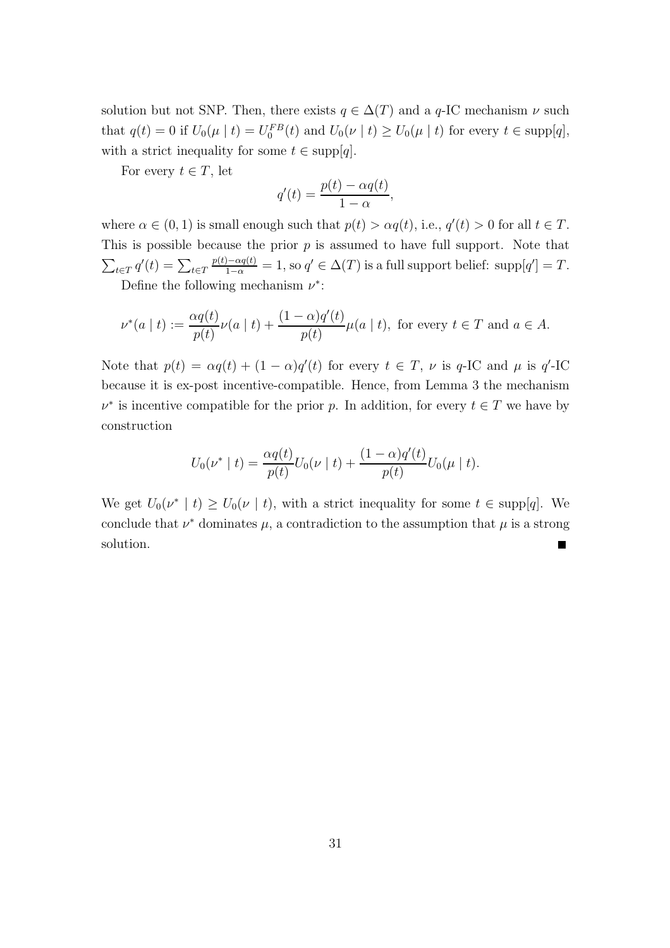solution but not SNP. Then, there exists  $q \in \Delta(T)$  and a q-IC mechanism  $\nu$  such that  $q(t) = 0$  if  $U_0(\mu \mid t) = U_0^{FB}(t)$  and  $U_0(\nu \mid t) \ge U_0(\mu \mid t)$  for every  $t \in \text{supp}[q]$ , with a strict inequality for some  $t \in \text{supp}[q]$ .

For every  $t \in T$ , let

$$
q'(t) = \frac{p(t) - \alpha q(t)}{1 - \alpha},
$$

where  $\alpha \in (0,1)$  is small enough such that  $p(t) > \alpha q(t)$ , i.e.,  $q'(t) > 0$  for all  $t \in T$ . This is possible because the prior  $p$  is assumed to have full support. Note that  $\sum_{t \in T} q'(t) = \sum_{t \in T}$  $\frac{p(t) - \alpha q(t)}{1 - \alpha} = 1$ , so  $q' \in \Delta(T)$  is a full support belief: supp $[q'] = T$ . Define the following mechanism  $\nu^*$ :

$$
\nu^*(a \mid t) := \frac{\alpha q(t)}{p(t)} \nu(a \mid t) + \frac{(1 - \alpha)q'(t)}{p(t)} \mu(a \mid t), \text{ for every } t \in T \text{ and } a \in A.
$$

Note that  $p(t) = \alpha q(t) + (1 - \alpha)q'(t)$  for every  $t \in T$ ,  $\nu$  is q-IC and  $\mu$  is q'-IC because it is ex-post incentive-compatible. Hence, from Lemma 3 the mechanism  $\nu^*$  is incentive compatible for the prior p. In addition, for every  $t \in T$  we have by construction

$$
U_0(\nu^* | t) = \frac{\alpha q(t)}{p(t)} U_0(\nu | t) + \frac{(1 - \alpha)q'(t)}{p(t)} U_0(\mu | t).
$$

We get  $U_0(\nu^* \mid t) \geq U_0(\nu \mid t)$ , with a strict inequality for some  $t \in \text{supp}[q]$ . We conclude that  $\nu^*$  dominates  $\mu$ , a contradiction to the assumption that  $\mu$  is a strong solution. П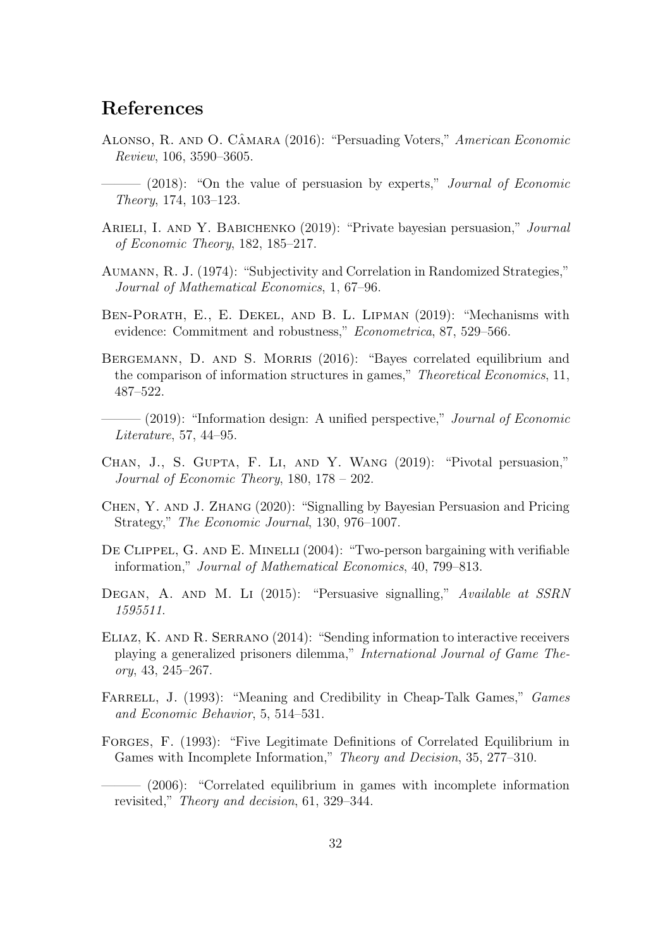## References

- ALONSO, R. AND O. CÂMARA (2016): "Persuading Voters," American Economic Review, 106, 3590–3605.
- $-$  (2018): "On the value of persuasion by experts," *Journal of Economic* Theory, 174, 103–123.
- ARIELI, I. AND Y. BABICHENKO (2019): "Private bayesian persuasion," *Journal* of Economic Theory, 182, 185–217.
- Aumann, R. J. (1974): "Subjectivity and Correlation in Randomized Strategies," Journal of Mathematical Economics, 1, 67–96.
- Ben-Porath, E., E. Dekel, and B. L. Lipman (2019): "Mechanisms with evidence: Commitment and robustness," Econometrica, 87, 529–566.
- BERGEMANN, D. AND S. MORRIS (2016): "Bayes correlated equilibrium and the comparison of information structures in games," Theoretical Economics, 11, 487–522.
- $-$  (2019): "Information design: A unified perspective," Journal of Economic Literature, 57, 44–95.
- Chan, J., S. Gupta, F. Li, and Y. Wang (2019): "Pivotal persuasion," Journal of Economic Theory, 180, 178 – 202.
- Chen, Y. and J. Zhang (2020): "Signalling by Bayesian Persuasion and Pricing Strategy," The Economic Journal, 130, 976–1007.
- DE CLIPPEL, G. AND E. MINELLI (2004): "Two-person bargaining with verifiable information," Journal of Mathematical Economics, 40, 799–813.
- DEGAN, A. AND M. LI (2015): "Persuasive signalling," Available at SSRN 1595511.
- ELIAZ, K. AND R. SERRANO (2014): "Sending information to interactive receivers playing a generalized prisoners dilemma," International Journal of Game Theory, 43, 245–267.
- FARRELL, J. (1993): "Meaning and Credibility in Cheap-Talk Games," Games and Economic Behavior, 5, 514–531.
- FORGES, F. (1993): "Five Legitimate Definitions of Correlated Equilibrium in Games with Incomplete Information," Theory and Decision, 35, 277–310.

– (2006): "Correlated equilibrium in games with incomplete information revisited," Theory and decision, 61, 329–344.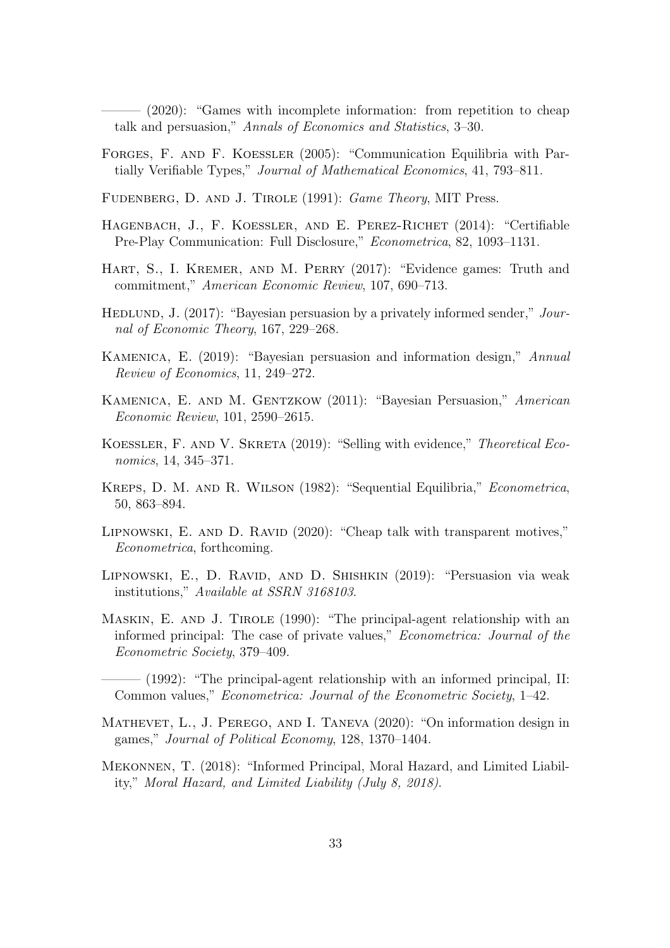– (2020): "Games with incomplete information: from repetition to cheap talk and persuasion," Annals of Economics and Statistics, 3–30.

Forges, F. and F. Koessler (2005): "Communication Equilibria with Partially Verifiable Types," Journal of Mathematical Economics, 41, 793–811.

FUDENBERG, D. AND J. TIROLE (1991): *Game Theory*, MIT Press.

- HAGENBACH, J., F. KOESSLER, AND E. PEREZ-RICHET (2014): "Certifiable Pre-Play Communication: Full Disclosure," Econometrica, 82, 1093–1131.
- HART, S., I. KREMER, AND M. PERRY (2017): "Evidence games: Truth and commitment," American Economic Review, 107, 690–713.
- HEDLUND, J. (2017): "Bayesian persuasion by a privately informed sender," Journal of Economic Theory, 167, 229–268.
- Kamenica, E. (2019): "Bayesian persuasion and information design," Annual Review of Economics, 11, 249–272.
- Kamenica, E. and M. Gentzkow (2011): "Bayesian Persuasion," American Economic Review, 101, 2590–2615.
- KOESSLER, F. AND V. SKRETA (2019): "Selling with evidence," Theoretical Economics, 14, 345–371.
- Kreps, D. M. and R. Wilson (1982): "Sequential Equilibria," Econometrica, 50, 863–894.
- LIPNOWSKI, E. AND D. RAVID (2020): "Cheap talk with transparent motives," Econometrica, forthcoming.
- LIPNOWSKI, E., D. RAVID, AND D. SHISHKIN (2019): "Persuasion via weak institutions," Available at SSRN 3168103.
- MASKIN, E. AND J. TIROLE (1990): "The principal-agent relationship with an informed principal: The case of private values," Econometrica: Journal of the Econometric Society, 379–409.

 $-$  (1992): "The principal-agent relationship with an informed principal, II: Common values," Econometrica: Journal of the Econometric Society, 1–42.

- Mathevet, L., J. Perego, and I. Taneva (2020): "On information design in games," Journal of Political Economy, 128, 1370–1404.
- Mekonnen, T. (2018): "Informed Principal, Moral Hazard, and Limited Liability," Moral Hazard, and Limited Liability (July 8, 2018).